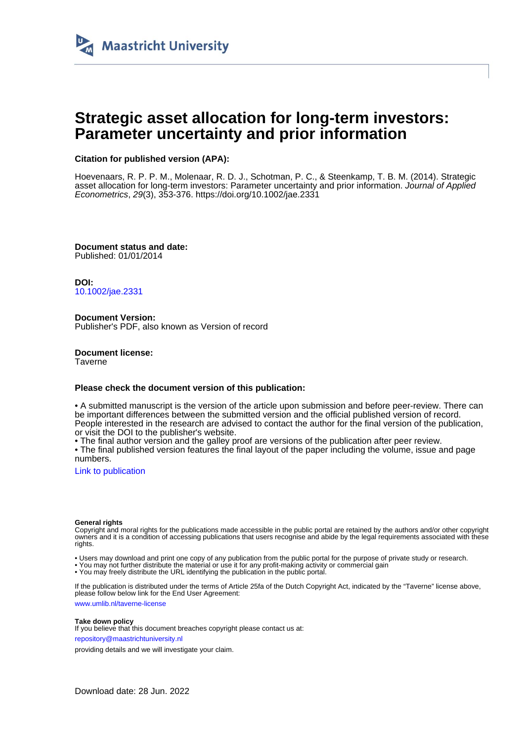

# **Strategic asset allocation for long-term investors: Parameter uncertainty and prior information**

### **Citation for published version (APA):**

Hoevenaars, R. P. P. M., Molenaar, R. D. J., Schotman, P. C., & Steenkamp, T. B. M. (2014). Strategic asset allocation for long-term investors: Parameter uncertainty and prior information. Journal of Applied Econometrics, 29(3), 353-376.<https://doi.org/10.1002/jae.2331>

**Document status and date:** Published: 01/01/2014

**DOI:** [10.1002/jae.2331](https://doi.org/10.1002/jae.2331)

**Document Version:** Publisher's PDF, also known as Version of record

**Document license: Taverne** 

#### **Please check the document version of this publication:**

• A submitted manuscript is the version of the article upon submission and before peer-review. There can be important differences between the submitted version and the official published version of record. People interested in the research are advised to contact the author for the final version of the publication, or visit the DOI to the publisher's website.

• The final author version and the galley proof are versions of the publication after peer review.

• The final published version features the final layout of the paper including the volume, issue and page numbers.

[Link to publication](https://cris.maastrichtuniversity.nl/en/publications/9f4ed6b0-81a9-4d82-9710-610ac970559d)

#### **General rights**

Copyright and moral rights for the publications made accessible in the public portal are retained by the authors and/or other copyright owners and it is a condition of accessing publications that users recognise and abide by the legal requirements associated with these rights.

• Users may download and print one copy of any publication from the public portal for the purpose of private study or research.

• You may not further distribute the material or use it for any profit-making activity or commercial gain

• You may freely distribute the URL identifying the publication in the public portal.

If the publication is distributed under the terms of Article 25fa of the Dutch Copyright Act, indicated by the "Taverne" license above, please follow below link for the End User Agreement:

www.umlib.nl/taverne-license

#### **Take down policy**

If you believe that this document breaches copyright please contact us at: repository@maastrichtuniversity.nl

providing details and we will investigate your claim.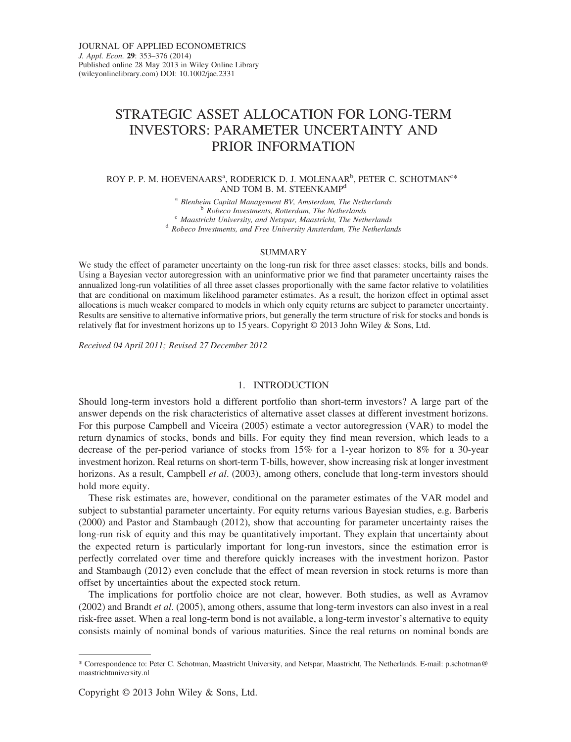## STRATEGIC ASSET ALLOCATION FOR LONG-TERM INVESTORS: PARAMETER UNCERTAINTY AND PRIOR INFORMATION

#### ROY P. P. M. HOEVENAARS $\mathrm{^a}$ , RODERICK D. J. MOLENAAR $\mathrm{^b}$ , PETER C. SCHOTMAN $\mathrm{^{c*}}$ AND TOM B. M. STEENKAMP<sup>d</sup>

<sup>a</sup> Blenheim Capital Management BV, Amsterdam, The Netherlands<br><sup>b</sup> Robeco Investments, Rotterdam, The Netherlands<br><sup>c</sup> Maastricht University, and Netspar, Maastricht, The Netherlands<br><sup>d</sup> Robeco Investments, and Free Univer

#### SUMMARY

We study the effect of parameter uncertainty on the long-run risk for three asset classes: stocks, bills and bonds. Using a Bayesian vector autoregression with an uninformative prior we find that parameter uncertainty raises the annualized long-run volatilities of all three asset classes proportionally with the same factor relative to volatilities that are conditional on maximum likelihood parameter estimates. As a result, the horizon effect in optimal asset allocations is much weaker compared to models in which only equity returns are subject to parameter uncertainty. Results are sensitive to alternative informative priors, but generally the term structure of risk for stocks and bonds is relatively flat for investment horizons up to 15 years. Copyright © 2013 John Wiley & Sons, Ltd.

Received 04 April 2011; Revised 27 December 2012

#### 1. INTRODUCTION

Should long-term investors hold a different portfolio than short-term investors? A large part of the answer depends on the risk characteristics of alternative asset classes at different investment horizons. For this purpose Campbell and Viceira (2005) estimate a vector autoregression (VAR) to model the return dynamics of stocks, bonds and bills. For equity they find mean reversion, which leads to a decrease of the per-period variance of stocks from 15% for a 1-year horizon to 8% for a 30-year investment horizon. Real returns on short-term T-bills, however, show increasing risk at longer investment horizons. As a result, Campbell *et al.* (2003), among others, conclude that long-term investors should hold more equity.

These risk estimates are, however, conditional on the parameter estimates of the VAR model and subject to substantial parameter uncertainty. For equity returns various Bayesian studies, e.g. Barberis (2000) and Pastor and Stambaugh (2012), show that accounting for parameter uncertainty raises the long-run risk of equity and this may be quantitatively important. They explain that uncertainty about the expected return is particularly important for long-run investors, since the estimation error is perfectly correlated over time and therefore quickly increases with the investment horizon. Pastor and Stambaugh (2012) even conclude that the effect of mean reversion in stock returns is more than offset by uncertainties about the expected stock return.

The implications for portfolio choice are not clear, however. Both studies, as well as Avramov  $(2002)$  and Brandt *et al.*  $(2005)$ , among others, assume that long-term investors can also invest in a real risk-free asset. When a real long-term bond is not available, a long-term investor's alternative to equity consists mainly of nominal bonds of various maturities. Since the real returns on nominal bonds are

<sup>\*</sup> Correspondence to: Peter C. Schotman, Maastricht University, and Netspar, Maastricht, The Netherlands. E-mail: p.schotman@ maastrichtuniversity.nl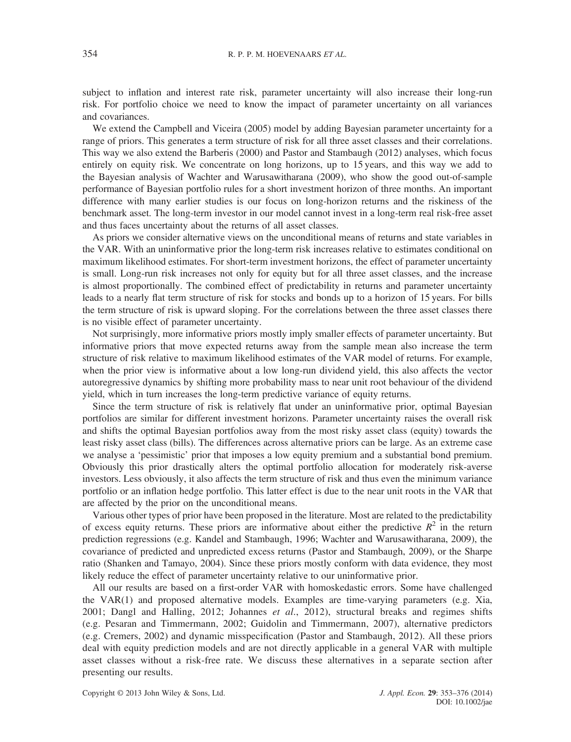subject to inflation and interest rate risk, parameter uncertainty will also increase their long-run risk. For portfolio choice we need to know the impact of parameter uncertainty on all variances and covariances.

We extend the Campbell and Viceira (2005) model by adding Bayesian parameter uncertainty for a range of priors. This generates a term structure of risk for all three asset classes and their correlations. This way we also extend the Barberis (2000) and Pastor and Stambaugh (2012) analyses, which focus entirely on equity risk. We concentrate on long horizons, up to 15 years, and this way we add to the Bayesian analysis of Wachter and Warusawitharana (2009), who show the good out-of-sample performance of Bayesian portfolio rules for a short investment horizon of three months. An important difference with many earlier studies is our focus on long-horizon returns and the riskiness of the benchmark asset. The long-term investor in our model cannot invest in a long-term real risk-free asset and thus faces uncertainty about the returns of all asset classes.

As priors we consider alternative views on the unconditional means of returns and state variables in the VAR. With an uninformative prior the long-term risk increases relative to estimates conditional on maximum likelihood estimates. For short-term investment horizons, the effect of parameter uncertainty is small. Long-run risk increases not only for equity but for all three asset classes, and the increase is almost proportionally. The combined effect of predictability in returns and parameter uncertainty leads to a nearly flat term structure of risk for stocks and bonds up to a horizon of 15 years. For bills the term structure of risk is upward sloping. For the correlations between the three asset classes there is no visible effect of parameter uncertainty.

Not surprisingly, more informative priors mostly imply smaller effects of parameter uncertainty. But informative priors that move expected returns away from the sample mean also increase the term structure of risk relative to maximum likelihood estimates of the VAR model of returns. For example, when the prior view is informative about a low long-run dividend yield, this also affects the vector autoregressive dynamics by shifting more probability mass to near unit root behaviour of the dividend yield, which in turn increases the long-term predictive variance of equity returns.

Since the term structure of risk is relatively flat under an uninformative prior, optimal Bayesian portfolios are similar for different investment horizons. Parameter uncertainty raises the overall risk and shifts the optimal Bayesian portfolios away from the most risky asset class (equity) towards the least risky asset class (bills). The differences across alternative priors can be large. As an extreme case we analyse a 'pessimistic' prior that imposes a low equity premium and a substantial bond premium. Obviously this prior drastically alters the optimal portfolio allocation for moderately risk-averse investors. Less obviously, it also affects the term structure of risk and thus even the minimum variance portfolio or an inflation hedge portfolio. This latter effect is due to the near unit roots in the VAR that are affected by the prior on the unconditional means.

Various other types of prior have been proposed in the literature. Most are related to the predictability of excess equity returns. These priors are informative about either the predictive  $R^2$  in the return prediction regressions (e.g. Kandel and Stambaugh, 1996; Wachter and Warusawitharana, 2009), the covariance of predicted and unpredicted excess returns (Pastor and Stambaugh, 2009), or the Sharpe ratio (Shanken and Tamayo, 2004). Since these priors mostly conform with data evidence, they most likely reduce the effect of parameter uncertainty relative to our uninformative prior.

All our results are based on a first-order VAR with homoskedastic errors. Some have challenged the VAR(1) and proposed alternative models. Examples are time-varying parameters (e.g. Xia, 2001; Dangl and Halling, 2012; Johannes et al., 2012), structural breaks and regimes shifts (e.g. Pesaran and Timmermann, 2002; Guidolin and Timmermann, 2007), alternative predictors (e.g. Cremers, 2002) and dynamic misspecification (Pastor and Stambaugh, 2012). All these priors deal with equity prediction models and are not directly applicable in a general VAR with multiple asset classes without a risk-free rate. We discuss these alternatives in a separate section after presenting our results.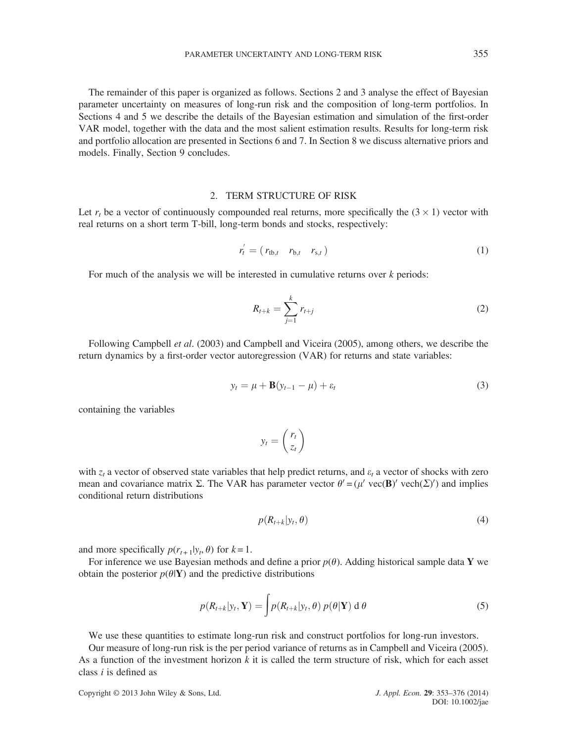The remainder of this paper is organized as follows. Sections 2 and 3 analyse the effect of Bayesian parameter uncertainty on measures of long-run risk and the composition of long-term portfolios. In Sections 4 and 5 we describe the details of the Bayesian estimation and simulation of the first-order VAR model, together with the data and the most salient estimation results. Results for long-term risk and portfolio allocation are presented in Sections 6 and 7. In Section 8 we discuss alternative priors and models. Finally, Section 9 concludes.

#### 2. TERM STRUCTURE OF RISK

Let  $r_t$  be a vector of continuously compounded real returns, more specifically the  $(3 \times 1)$  vector with real returns on a short term T-bill, long-term bonds and stocks, respectively:

$$
r_t = (r_{\text{tb},t} \quad r_{\text{b},t} \quad r_{\text{s},t}) \tag{1}
$$

For much of the analysis we will be interested in cumulative returns over  $k$  periods:

$$
R_{t+k} = \sum_{j=1}^{k} r_{t+j}
$$
 (2)

Following Campbell et al. (2003) and Campbell and Viceira (2005), among others, we describe the return dynamics by a first-order vector autoregression (VAR) for returns and state variables:

$$
y_t = \mu + \mathbf{B}(y_{t-1} - \mu) + \varepsilon_t \tag{3}
$$

containing the variables

$$
y_t = \begin{pmatrix} r_t \\ z_t \end{pmatrix}
$$

with  $z_t$  a vector of observed state variables that help predict returns, and  $\varepsilon_t$  a vector of shocks with zero mean and covariance matrix  $\Sigma$ . The VAR has parameter vector  $\theta' = (\mu' \text{ vec}(B)' \text{ vec}(B'))$  and implies conditional return distributions

$$
p(R_{t+k}|y_t, \theta) \tag{4}
$$

and more specifically  $p(r_{t+1}|y_t, \theta)$  for  $k = 1$ .

For inference we use Bayesian methods and define a prior  $p(\theta)$ . Adding historical sample data Y we obtain the posterior  $p(\theta|Y)$  and the predictive distributions

$$
p(R_{t+k}|y_t, \mathbf{Y}) = \int p(R_{t+k}|y_t, \theta) p(\theta|\mathbf{Y}) d\theta
$$
\n(5)

We use these quantities to estimate long-run risk and construct portfolios for long-run investors.

Our measure of long-run risk is the per period variance of returns as in Campbell and Viceira (2005). As a function of the investment horizon  $k$  it is called the term structure of risk, which for each asset class  $i$  is defined as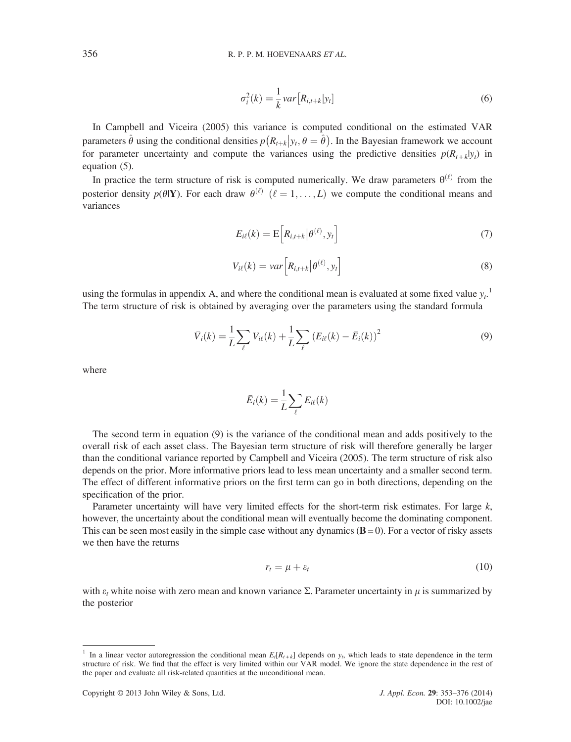$$
\sigma_i^2(k) = \frac{1}{k} var[R_{i,t+k}|y_t]
$$
\n(6)

In Campbell and Viceira (2005) this variance is computed conditional on the estimated VAR parameters  $\hat{\theta}$  using the conditional densities  $p (R_{t+k} | y_t, \theta = \hat{\theta})$ . In the Bayesian framework we account for parameter uncertainty and compute the variances using the predictive densities  $p(R_{t+k}|y_t)$  in equation (5).

In practice the term structure of risk is computed numerically. We draw parameters  $\theta^{(\ell)}$  from the posterior density  $p(\theta|\mathbf{Y})$ . For each draw  $\theta^{(\ell)}$  ( $\ell = 1, \dots, L$ ) we compute the conditional means and variances

$$
E_{i\ell}(k) = \mathbb{E}\Big[R_{i,t+k}\big|\theta^{(\ell)},y_t\Big] \tag{7}
$$

$$
V_{i\ell}(k) = var\left[R_{i,t+k}|\theta^{(\ell)}, y_t\right]
$$
\n(8)

using the formulas in appendix A, and where the conditional mean is evaluated at some fixed value  $y_t$ .<sup>1</sup> The term structure of risk is obtained by averaging over the parameters using the standard formula

$$
\bar{V}_i(k) = \frac{1}{L} \sum_{\ell} V_{i\ell}(k) + \frac{1}{L} \sum_{\ell} (E_{i\ell}(k) - \bar{E}_i(k))^2
$$
\n(9)

where

$$
\bar{E}_i(k) = \frac{1}{L} \sum_{\ell} E_{i\ell}(k)
$$

The second term in equation (9) is the variance of the conditional mean and adds positively to the overall risk of each asset class. The Bayesian term structure of risk will therefore generally be larger than the conditional variance reported by Campbell and Viceira (2005). The term structure of risk also depends on the prior. More informative priors lead to less mean uncertainty and a smaller second term. The effect of different informative priors on the first term can go in both directions, depending on the specification of the prior.

Parameter uncertainty will have very limited effects for the short-term risk estimates. For large  $k$ , however, the uncertainty about the conditional mean will eventually become the dominating component. This can be seen most easily in the simple case without any dynamics  $(B= 0)$ . For a vector of risky assets we then have the returns

$$
r_t = \mu + \varepsilon_t \tag{10}
$$

with  $\varepsilon$ , white noise with zero mean and known variance Σ. Parameter uncertainty in  $\mu$  is summarized by the posterior

<sup>&</sup>lt;sup>1</sup> In a linear vector autoregression the conditional mean  $E_t[R_{t+k}]$  depends on  $y_t$ , which leads to state dependence in the term structure of risk. We find that the effect is very limited within our VAR model. We ignore the state dependence in the rest of the paper and evaluate all risk-related quantities at the unconditional mean.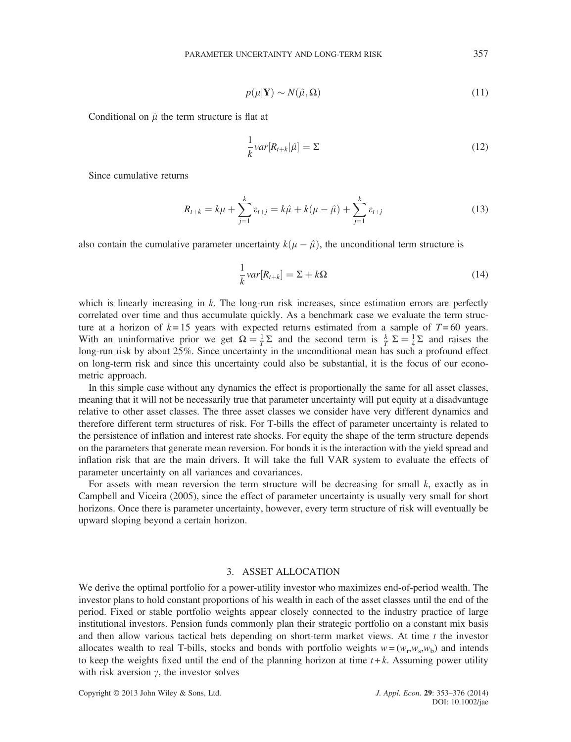$$
p(\mu|\mathbf{Y}) \sim N(\hat{\mu}, \Omega) \tag{11}
$$

Conditional on  $\hat{\mu}$  the term structure is flat at

$$
\frac{1}{k}var[R_{t+k}|\hat{\mu}] = \Sigma
$$
\n(12)

Since cumulative returns

$$
R_{t+k} = k\mu + \sum_{j=1}^{k} \varepsilon_{t+j} = k\hat{\mu} + k(\mu - \hat{\mu}) + \sum_{j=1}^{k} \varepsilon_{t+j}
$$
(13)

also contain the cumulative parameter uncertainty  $k(\mu - \hat{\mu})$ , the unconditional term structure is

$$
\frac{1}{k}var[R_{t+k}] = \Sigma + k\Omega
$$
\n(14)

which is linearly increasing in  $k$ . The long-run risk increases, since estimation errors are perfectly correlated over time and thus accumulate quickly. As a benchmark case we evaluate the term structure at a horizon of  $k = 15$  years with expected returns estimated from a sample of  $T = 60$  years. With an uninformative prior we get  $\Omega = \frac{1}{T} \Sigma$  and the second term is  $\frac{k}{T} \Sigma = \frac{1}{4} \Sigma$  and raises the long-run risk by about 25%. Since uncertainty in the unconditional mean has such a profound effect on long-term risk and since this uncertainty could also be substantial, it is the focus of our econometric approach.

In this simple case without any dynamics the effect is proportionally the same for all asset classes, meaning that it will not be necessarily true that parameter uncertainty will put equity at a disadvantage relative to other asset classes. The three asset classes we consider have very different dynamics and therefore different term structures of risk. For T-bills the effect of parameter uncertainty is related to the persistence of inflation and interest rate shocks. For equity the shape of the term structure depends on the parameters that generate mean reversion. For bonds it is the interaction with the yield spread and inflation risk that are the main drivers. It will take the full VAR system to evaluate the effects of parameter uncertainty on all variances and covariances.

For assets with mean reversion the term structure will be decreasing for small  $k$ , exactly as in Campbell and Viceira (2005), since the effect of parameter uncertainty is usually very small for short horizons. Once there is parameter uncertainty, however, every term structure of risk will eventually be upward sloping beyond a certain horizon.

#### 3. ASSET ALLOCATION

We derive the optimal portfolio for a power-utility investor who maximizes end-of-period wealth. The investor plans to hold constant proportions of his wealth in each of the asset classes until the end of the period. Fixed or stable portfolio weights appear closely connected to the industry practice of large institutional investors. Pension funds commonly plan their strategic portfolio on a constant mix basis and then allow various tactical bets depending on short-term market views. At time  $t$  the investor allocates wealth to real T-bills, stocks and bonds with portfolio weights  $w = (w_r, w_s, w_b)$  and intends to keep the weights fixed until the end of the planning horizon at time  $t + k$ . Assuming power utility with risk aversion  $\gamma$ , the investor solves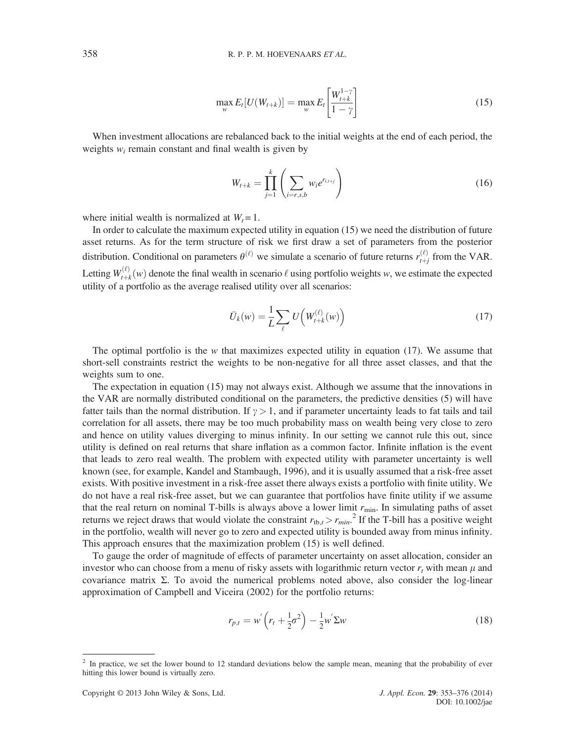$$
\max_{w} E_{t}[U(W_{t+k})] = \max_{w} E_{t} \left[ \frac{W_{t+k}^{1-\gamma}}{1-\gamma} \right]
$$
\n(15)

When investment allocations are rebalanced back to the initial weights at the end of each period, the weights  $w_i$  remain constant and final wealth is given by

$$
W_{t+k} = \prod_{j=1}^{k} \left( \sum_{i=r,s,b} w_i e^{r_{i,t+j}} \right)
$$
 (16)

where initial wealth is normalized at  $W_t = 1$ .

In order to calculate the maximum expected utility in equation (15) we need the distribution of future asset returns. As for the term structure of risk we first draw a set of parameters from the posterior distribution. Conditional on parameters  $\theta^{(\ell)}$  we simulate a scenario of future returns  $r_{t+j}^{(\ell)}$  from the VAR. Letting  $W_{t+k}^{(\ell)}(w)$  denote the final wealth in scenario  $\ell$  using portfolio weights w, we estimate the expected utility of a portfolio as the average realised utility over all scenarios:

$$
\bar{U}_k(w) = \frac{1}{L} \sum_{\ell} U\left(W_{t+k}^{(\ell)}(w)\right) \tag{17}
$$

The optimal portfolio is the  $w$  that maximizes expected utility in equation (17). We assume that short-sell constraints restrict the weights to be non-negative for all three asset classes, and that the weights sum to one.

The expectation in equation (15) may not always exist. Although we assume that the innovations in the VAR are normally distributed conditional on the parameters, the predictive densities (5) will have fatter tails than the normal distribution. If  $\gamma > 1$ , and if parameter uncertainty leads to fat tails and tail correlation for all assets, there may be too much probability mass on wealth being very close to zero and hence on utility values diverging to minus infinity. In our setting we cannot rule this out, since utility is defined on real returns that share inflation as a common factor. Infinite inflation is the event that leads to zero real wealth. The problem with expected utility with parameter uncertainty is well known (see, for example, Kandel and Stambaugh, 1996), and it is usually assumed that a risk-free asset exists. With positive investment in a risk-free asset there always exists a portfolio with finite utility. We do not have a real risk-free asset, but we can guarantee that portfolios have finite utility if we assume that the real return on nominal T-bills is always above a lower limit  $r_{\text{min}}$ . In simulating paths of asset returns we reject draws that would violate the constraint  $r_{\text{tb},t} > r_{\text{min}}$ .<sup>2</sup> If the T-bill has a positive weight in the portfolio, wealth will never go to zero and expected utility is bounded away from minus infinity. This approach ensures that the maximization problem (15) is well defined.

To gauge the order of magnitude of effects of parameter uncertainty on asset allocation, consider an investor who can choose from a menu of risky assets with logarithmic return vector  $r_t$ , with mean  $\mu$  and covariance matrix  $\Sigma$ . To avoid the numerical problems noted above, also consider the log-linear approximation of Campbell and Viceira (2002) for the portfolio returns:

$$
r_{p,t} = w' \left( r_t + \frac{1}{2} \sigma^2 \right) - \frac{1}{2} w' \Sigma w \tag{18}
$$

<sup>&</sup>lt;sup>2</sup> In practice, we set the lower bound to 12 standard deviations below the sample mean, meaning that the probability of ever hitting this lower bound is virtually zero.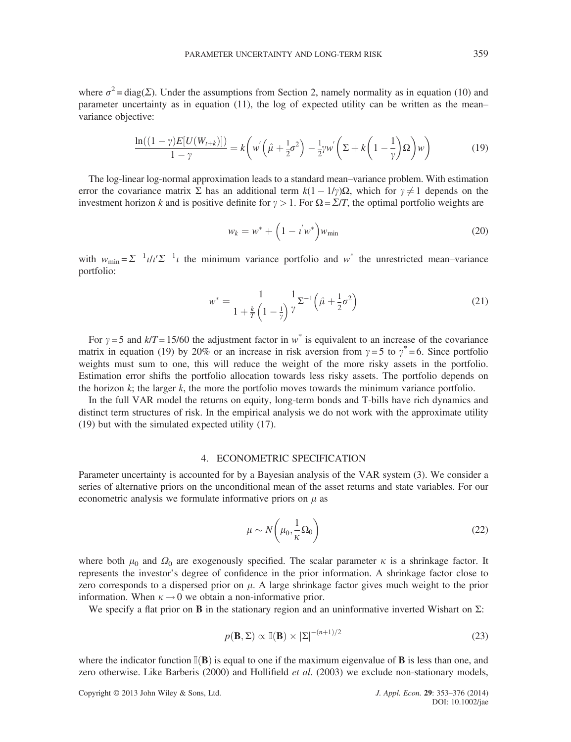where  $\sigma^2 = \text{diag}(\Sigma)$ . Under the assumptions from Section 2, namely normality as in equation (10) and parameter uncertainty as in equation (11), the log of expected utility can be written as the mean– variance objective:

$$
\frac{\ln((1-\gamma)E[U(W_{t+k})])}{1-\gamma} = k\left(w'\left(\hat{\mu} + \frac{1}{2}\sigma^2\right) - \frac{1}{2}\gamma w'\left(\Sigma + k\left(1 - \frac{1}{\gamma}\right)\Omega\right)w\right) \tag{19}
$$

The log-linear log-normal approximation leads to a standard mean–variance problem. With estimation error the covariance matrix  $\Sigma$  has an additional term  $k(1 - 1/\gamma)\Omega$ , which for  $\gamma \neq 1$  depends on the investment horizon k and is positive definite for  $\gamma > 1$ . For  $\Omega = \Sigma/T$ , the optimal portfolio weights are

$$
w_k = w^* + \left(1 - i'w^*\right)w_{\min} \tag{20}
$$

with  $w_{\text{min}} = \sum_{i=1}^{n} l_i / \sum_{i=1}^{n} l_i$  the minimum variance portfolio and  $w^*$  the unrestricted mean–variance portfolio:

$$
w^* = \frac{1}{1 + \frac{k}{T} \left(1 - \frac{1}{\gamma}\right)} \frac{1}{\gamma} \Sigma^{-1} \left(\hat{\mu} + \frac{1}{2}\sigma^2\right)
$$
(21)

For  $\gamma = 5$  and  $k/T = 15/60$  the adjustment factor in w<sup>\*</sup> is equivalent to an increase of the covariance matrix in equation (19) by 20% or an increase in risk aversion from  $\gamma = 5$  to  $\gamma^* = 6$ . Since portfolio weights must sum to one, this will reduce the weight of the more risky assets in the portfolio. Estimation error shifts the portfolio allocation towards less risky assets. The portfolio depends on the horizon  $k$ ; the larger  $k$ , the more the portfolio moves towards the minimum variance portfolio.

In the full VAR model the returns on equity, long-term bonds and T-bills have rich dynamics and distinct term structures of risk. In the empirical analysis we do not work with the approximate utility (19) but with the simulated expected utility (17).

#### 4. ECONOMETRIC SPECIFICATION

Parameter uncertainty is accounted for by a Bayesian analysis of the VAR system (3). We consider a series of alternative priors on the unconditional mean of the asset returns and state variables. For our econometric analysis we formulate informative priors on  $\mu$  as

$$
\mu \sim N\left(\mu_0, \frac{1}{\kappa} \Omega_0\right) \tag{22}
$$

where both  $\mu_0$  and  $\Omega_0$  are exogenously specified. The scalar parameter  $\kappa$  is a shrinkage factor. It represents the investor's degree of confidence in the prior information. A shrinkage factor close to zero corresponds to a dispersed prior on  $\mu$ . A large shrinkage factor gives much weight to the prior information. When  $\kappa \to 0$  we obtain a non-informative prior.

We specify a flat prior on **B** in the stationary region and an uninformative inverted Wishart on  $\Sigma$ :

$$
p(\mathbf{B}, \Sigma) \propto \mathbb{I}(\mathbf{B}) \times |\Sigma|^{-(n+1)/2}
$$
 (23)

where the indicator function  $\mathbb{I}(\mathbf{B})$  is equal to one if the maximum eigenvalue of **B** is less than one, and zero otherwise. Like Barberis (2000) and Hollifield *et al.* (2003) we exclude non-stationary models,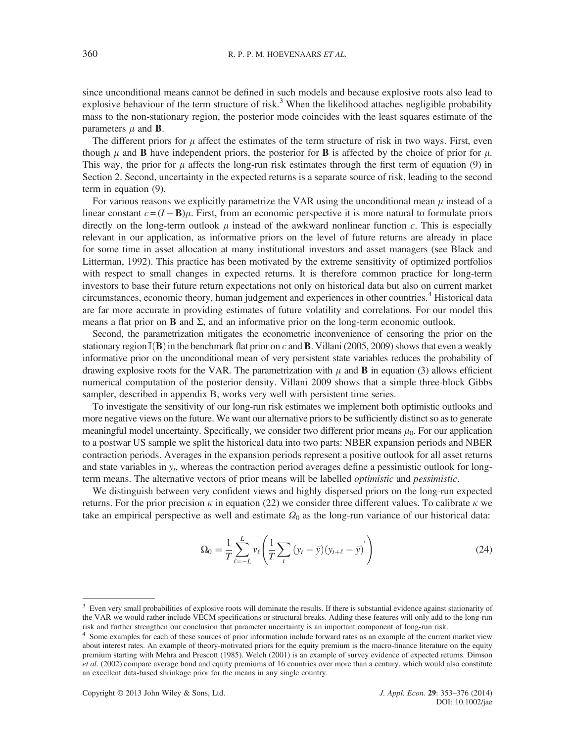since unconditional means cannot be defined in such models and because explosive roots also lead to explosive behaviour of the term structure of risk.<sup>3</sup> When the likelihood attaches negligible probability mass to the non-stationary region, the posterior mode coincides with the least squares estimate of the parameters  $\mu$  and **B**.

The different priors for  $\mu$  affect the estimates of the term structure of risk in two ways. First, even though  $\mu$  and **B** have independent priors, the posterior for **B** is affected by the choice of prior for  $\mu$ . This way, the prior for  $\mu$  affects the long-run risk estimates through the first term of equation (9) in Section 2. Second, uncertainty in the expected returns is a separate source of risk, leading to the second term in equation (9).

For various reasons we explicitly parametrize the VAR using the unconditional mean  $\mu$  instead of a linear constant  $c = (I - B)\mu$ . First, from an economic perspective it is more natural to formulate priors directly on the long-term outlook  $\mu$  instead of the awkward nonlinear function c. This is especially relevant in our application, as informative priors on the level of future returns are already in place for some time in asset allocation at many institutional investors and asset managers (see Black and Litterman, 1992). This practice has been motivated by the extreme sensitivity of optimized portfolios with respect to small changes in expected returns. It is therefore common practice for long-term investors to base their future return expectations not only on historical data but also on current market circumstances, economic theory, human judgement and experiences in other countries.<sup>4</sup> Historical data are far more accurate in providing estimates of future volatility and correlations. For our model this means a flat prior on  $\bf{B}$  and  $\Sigma$ , and an informative prior on the long-term economic outlook.

Second, the parametrization mitigates the econometric inconvenience of censoring the prior on the stationary region  $\mathbb{I}(\mathbf{B})$  in the benchmark flat prior on c and **B**. Villani (2005, 2009) shows that even a weakly informative prior on the unconditional mean of very persistent state variables reduces the probability of drawing explosive roots for the VAR. The parametrization with  $\mu$  and **B** in equation (3) allows efficient numerical computation of the posterior density. Villani 2009 shows that a simple three-block Gibbs sampler, described in appendix B, works very well with persistent time series.

To investigate the sensitivity of our long-run risk estimates we implement both optimistic outlooks and more negative views on the future. We want our alternative priors to be sufficiently distinct so as to generate meaningful model uncertainty. Specifically, we consider two different prior means  $\mu_0$ . For our application to a postwar US sample we split the historical data into two parts: NBER expansion periods and NBER contraction periods. Averages in the expansion periods represent a positive outlook for all asset returns and state variables in  $y_t$ , whereas the contraction period averages define a pessimistic outlook for longterm means. The alternative vectors of prior means will be labelled optimistic and pessimistic.

We distinguish between very confident views and highly dispersed priors on the long-run expected returns. For the prior precision  $\kappa$  in equation (22) we consider three different values. To calibrate  $\kappa$  we take an empirical perspective as well and estimate  $\Omega_0$  as the long-run variance of our historical data:

$$
\Omega_0 = \frac{1}{T} \sum_{\ell=-L}^{L} v_{\ell} \left( \frac{1}{T} \sum_{t} (y_t - \bar{y}) (y_{t+\ell} - \bar{y})' \right)
$$
(24)

<sup>&</sup>lt;sup>3</sup> Even very small probabilities of explosive roots will dominate the results. If there is substantial evidence against stationarity of the VAR we would rather include VECM specifications or structural breaks. Adding these features will only add to the long-run risk and further strengthen our conclusion that parameter uncertainty is an important component of long-run risk.

<sup>4</sup> Some examples for each of these sources of prior information include forward rates as an example of the current market view about interest rates. An example of theory-motivated priors for the equity premium is the macro-finance literature on the equity premium starting with Mehra and Prescott (1985). Welch (2001) is an example of survey evidence of expected returns. Dimson et al. (2002) compare average bond and equity premiums of 16 countries over more than a century, which would also constitute an excellent data-based shrinkage prior for the means in any single country.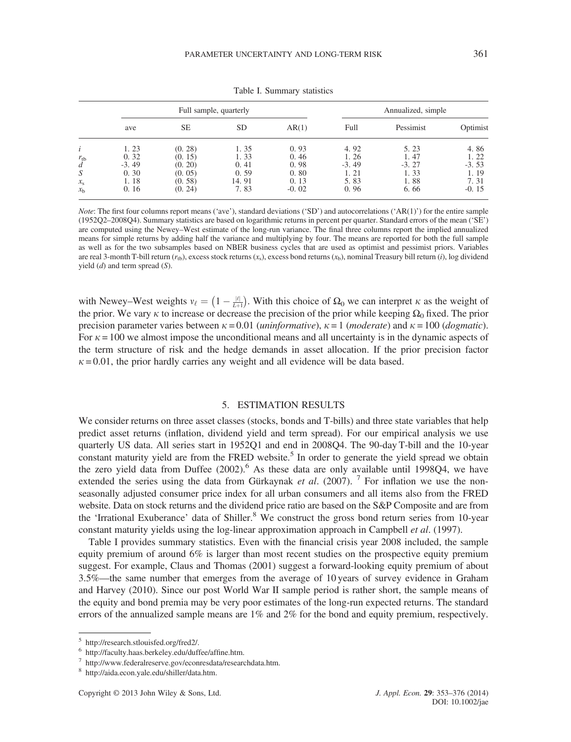|                                                                             |                                                 |                                                            | Full sample, quarterly                        |                                                 |                                                 | Annualized, simple                              |                                                    |
|-----------------------------------------------------------------------------|-------------------------------------------------|------------------------------------------------------------|-----------------------------------------------|-------------------------------------------------|-------------------------------------------------|-------------------------------------------------|----------------------------------------------------|
|                                                                             | ave                                             | <b>SE</b>                                                  | <b>SD</b>                                     | AR(1)                                           | Full                                            | Pessimist                                       | Optimist                                           |
| $\dot{i}$<br>$r_{\text{tb}}$<br>d<br>S<br>$\mathcal{X}_S$<br>x <sub>b</sub> | 1.23<br>0.32<br>$-3.49$<br>0.30<br>1.18<br>0.16 | (0.28)<br>(0.15)<br>(0, 20)<br>(0.05)<br>(0.58)<br>(0, 24) | 1.35<br>1.33<br>0.41<br>0.59<br>14.91<br>7.83 | 0.93<br>0.46<br>0.98<br>0.80<br>0.13<br>$-0.02$ | 4.92<br>1.26<br>$-3.49$<br>1.21<br>5.83<br>0.96 | 5.23<br>1.47<br>$-3.27$<br>1.33<br>1.88<br>6.66 | 4.86<br>1.22<br>$-3.53$<br>1.19<br>7.31<br>$-0.15$ |

Table I. Summary statistics

Note: The first four columns report means ('ave'), standard deviations ('SD') and autocorrelations ('AR(1)') for the entire sample (1952Q2–2008Q4). Summary statistics are based on logarithmic returns in percent per quarter. Standard errors of the mean ('SE') are computed using the Newey–West estimate of the long-run variance. The final three columns report the implied annualized means for simple returns by adding half the variance and multiplying by four. The means are reported for both the full sample as well as for the two subsamples based on NBER business cycles that are used as optimist and pessimist priors. Variables are real 3-month T-bill return  $(r<sub>th</sub>)$ , excess stock returns  $(x<sub>s</sub>)$ , excess bond returns  $(x<sub>th</sub>)$ , nominal Treasury bill return (i), log dividend yield  $(d)$  and term spread  $(S)$ .

with Newey–West weights  $v_{\ell} = \left(1 - \frac{|\ell|}{L+1}\right)$ . With this choice of  $\Omega_0$  we can interpret  $\kappa$  as the weight of the prior. We vary  $\kappa$  to increase or decrease the precision of the prior while keeping  $\Omega_0$  fixed. The prior precision parameter varies between  $\kappa = 0.01$  (*uninformative*),  $\kappa = 1$  (*moderate*) and  $\kappa = 100$  (*dogmatic*). For  $\kappa = 100$  we almost impose the unconditional means and all uncertainty is in the dynamic aspects of the term structure of risk and the hedge demands in asset allocation. If the prior precision factor  $k = 0.01$ , the prior hardly carries any weight and all evidence will be data based.

#### 5. ESTIMATION RESULTS

We consider returns on three asset classes (stocks, bonds and T-bills) and three state variables that help predict asset returns (inflation, dividend yield and term spread). For our empirical analysis we use quarterly US data. All series start in 1952Q1 and end in 2008Q4. The 90-day T-bill and the 10-year constant maturity yield are from the FRED website.<sup>5</sup> In order to generate the yield spread we obtain the zero yield data from Duffee  $(2002)$ .<sup>6</sup> As these data are only available until 1998Q4, we have extended the series using the data from Gürkaynak *et al.* (2007). <sup>7</sup> For inflation we use the nonseasonally adjusted consumer price index for all urban consumers and all items also from the FRED website. Data on stock returns and the dividend price ratio are based on the S&P Composite and are from the 'Irrational Exuberance' data of Shiller.<sup>8</sup> We construct the gross bond return series from 10-year constant maturity yields using the log-linear approximation approach in Campbell et al. (1997).

Table I provides summary statistics. Even with the financial crisis year 2008 included, the sample equity premium of around 6% is larger than most recent studies on the prospective equity premium suggest. For example, Claus and Thomas (2001) suggest a forward-looking equity premium of about 3.5%—the same number that emerges from the average of 10 years of survey evidence in Graham and Harvey (2010). Since our post World War II sample period is rather short, the sample means of the equity and bond premia may be very poor estimates of the long-run expected returns. The standard errors of the annualized sample means are 1% and 2% for the bond and equity premium, respectively.

<sup>&</sup>lt;sup>5</sup> http://research.stlouisfed.org/fred2/.<br>
<sup>6</sup> http://faculty.haas.berkeley.edu/duffee/affine.htm.<br>
<sup>7</sup> http://www.federalreserve.gov/econresdata/researchdata.htm.<br>
<sup>8</sup> [http://aida.econ.yale.edu/shiller/data.htm.](http://aida.econ.yale.edu/shiller/data.htm)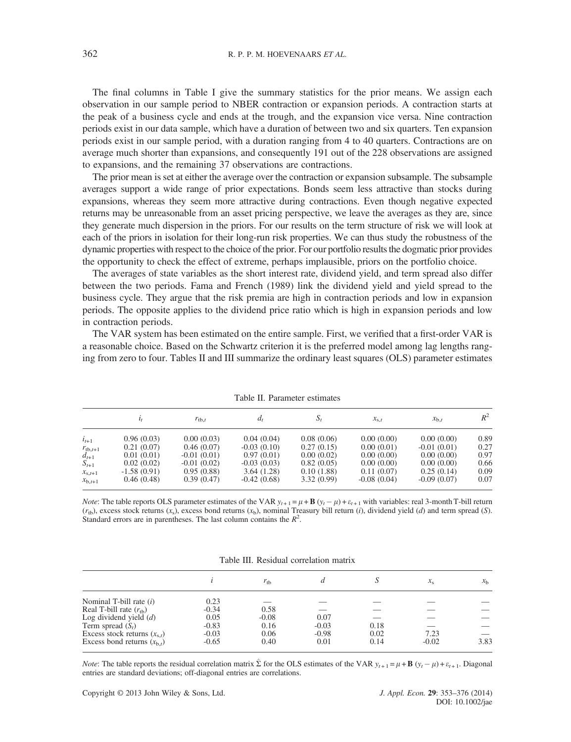The final columns in Table I give the summary statistics for the prior means. We assign each observation in our sample period to NBER contraction or expansion periods. A contraction starts at the peak of a business cycle and ends at the trough, and the expansion vice versa. Nine contraction periods exist in our data sample, which have a duration of between two and six quarters. Ten expansion periods exist in our sample period, with a duration ranging from 4 to 40 quarters. Contractions are on average much shorter than expansions, and consequently 191 out of the 228 observations are assigned to expansions, and the remaining 37 observations are contractions.

The prior mean is set at either the average over the contraction or expansion subsample. The subsample averages support a wide range of prior expectations. Bonds seem less attractive than stocks during expansions, whereas they seem more attractive during contractions. Even though negative expected returns may be unreasonable from an asset pricing perspective, we leave the averages as they are, since they generate much dispersion in the priors. For our results on the term structure of risk we will look at each of the priors in isolation for their long-run risk properties. We can thus study the robustness of the dynamic properties with respect to the choice of the prior. For our portfolio results the dogmatic prior provides the opportunity to check the effect of extreme, perhaps implausible, priors on the portfolio choice.

The averages of state variables as the short interest rate, dividend yield, and term spread also differ between the two periods. Fama and French (1989) link the dividend yield and yield spread to the business cycle. They argue that the risk premia are high in contraction periods and low in expansion periods. The opposite applies to the dividend price ratio which is high in expansion periods and low in contraction periods.

The VAR system has been estimated on the entire sample. First, we verified that a first-order VAR is a reasonable choice. Based on the Schwartz criterion it is the preferred model among lag lengths ranging from zero to four. Tables II and III summarize the ordinary least squares (OLS) parameter estimates

|              | $l_t$         | $r_{\text{tb},t}$ | $d_t$         | $\mathcal{S}_t$ | $x_{s,t}$     | $x_{b,t}$     | $R^2$ |
|--------------|---------------|-------------------|---------------|-----------------|---------------|---------------|-------|
| $i_{t+1}$    | 0.96(0.03)    | 0.00(0.03)        | 0.04(0.04)    | 0.08(0.06)      | 0.00(0.00)    | 0.00(0.00)    | 0.89  |
| $r_{tb,t+1}$ | 0.21(0.07)    | 0.46(0.07)        | $-0.03(0.10)$ | 0.27(0.15)      | 0.00(0.01)    | $-0.01(0.01)$ | 0.27  |
| $d_{t+1}$    | 0.01(0.01)    | $-0.01(0.01)$     | 0.97(0.01)    | 0.00(0.02)      | 0.00(0.00)    | 0.00(0.00)    | 0.97  |
| $S_{t+1}$    | 0.02(0.02)    | $-0.01(0.02)$     | $-0.03(0.03)$ | 0.82(0.05)      | 0.00(0.00)    | 0.00(0.00)    | 0.66  |
| $x_{s,t+1}$  | $-1.58(0.91)$ | 0.95(0.88)        | 3.64(1.28)    | 0.10(1.88)      | 0.11(0.07)    | 0.25(0.14)    | 0.09  |
| $x_{b,t+1}$  | 0.46(0.48)    | 0.39(0.47)        | $-0.42(0.68)$ | 3.32(0.99)      | $-0.08(0.04)$ | $-0.09(0.07)$ | 0.07  |

Table II. Parameter estimates

*Note*: The table reports OLS parameter estimates of the VAR  $y_{t+1} = \mu + \mathbf{B} (y_t - \mu) + \varepsilon_{t+1}$  with variables: real 3-month T-bill return  $(r_{\text{tb}})$ , excess stock returns  $(x_s)$ , excess bond returns  $(x_b)$ , nominal Treasury bill return  $(i)$ , dividend yield  $(d)$  and term spread (S). Standard errors are in parentheses. The last column contains the  $R^2$ .

|                                  |         | $r_{\text{th}}$ |         |      | $x_{\rm s}$ | x <sub>b</sub> |  |  |
|----------------------------------|---------|-----------------|---------|------|-------------|----------------|--|--|
| Nominal T-bill rate $(i)$        | 0.23    |                 |         |      |             |                |  |  |
| Real T-bill rate $(rth)$         | $-0.34$ | 0.58            |         |      |             |                |  |  |
| Log dividend yield $(d)$         | 0.05    | $-0.08$         | 0.07    |      |             |                |  |  |
| Term spread $(S_t)$              | $-0.83$ | 0.16            | $-0.03$ | 0.18 |             |                |  |  |
| Excess stock returns $(x_{s,t})$ | $-0.03$ | 0.06            | $-0.98$ | 0.02 | 7.23        |                |  |  |
| Excess bond returns $(xb, t)$    | $-0.65$ | 0.40            | 0.01    | 0.14 | $-0.02$     | 3.83           |  |  |

Table III. Residual correlation matrix

*Note*: The table reports the residual correlation matrix  $\hat{\Sigma}$  for the OLS estimates of the VAR  $y_{t+1} = \mu + B (y_t - \mu) + \varepsilon_{t+1}$ . Diagonal entries are standard deviations; off-diagonal entries are correlations.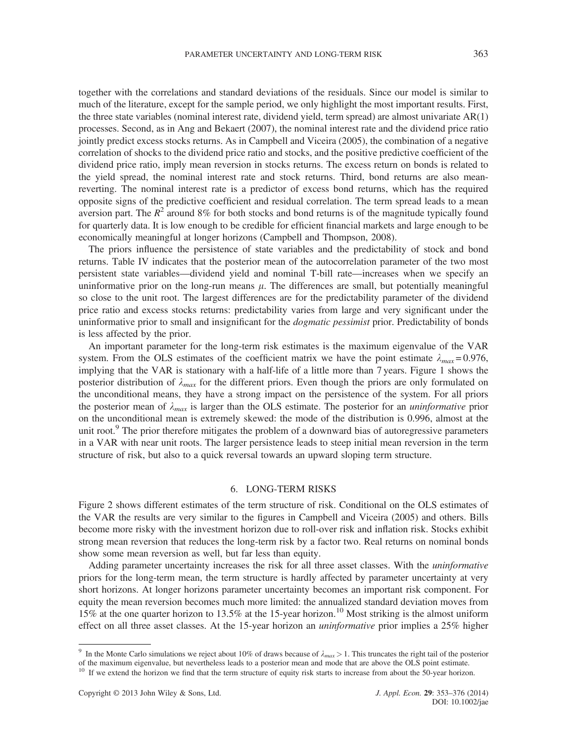together with the correlations and standard deviations of the residuals. Since our model is similar to much of the literature, except for the sample period, we only highlight the most important results. First, the three state variables (nominal interest rate, dividend yield, term spread) are almost univariate AR(1) processes. Second, as in Ang and Bekaert (2007), the nominal interest rate and the dividend price ratio jointly predict excess stocks returns. As in Campbell and Viceira (2005), the combination of a negative correlation of shocks to the dividend price ratio and stocks, and the positive predictive coefficient of the dividend price ratio, imply mean reversion in stocks returns. The excess return on bonds is related to the yield spread, the nominal interest rate and stock returns. Third, bond returns are also meanreverting. The nominal interest rate is a predictor of excess bond returns, which has the required opposite signs of the predictive coefficient and residual correlation. The term spread leads to a mean aversion part. The  $R^2$  around 8% for both stocks and bond returns is of the magnitude typically found for quarterly data. It is low enough to be credible for efficient financial markets and large enough to be economically meaningful at longer horizons (Campbell and Thompson, 2008).

The priors influence the persistence of state variables and the predictability of stock and bond returns. Table IV indicates that the posterior mean of the autocorrelation parameter of the two most persistent state variables—dividend yield and nominal T-bill rate—increases when we specify an uninformative prior on the long-run means  $\mu$ . The differences are small, but potentially meaningful so close to the unit root. The largest differences are for the predictability parameter of the dividend price ratio and excess stocks returns: predictability varies from large and very significant under the uninformative prior to small and insignificant for the *dogmatic pessimist* prior. Predictability of bonds is less affected by the prior.

An important parameter for the long-term risk estimates is the maximum eigenvalue of the VAR system. From the OLS estimates of the coefficient matrix we have the point estimate  $\lambda_{max} = 0.976$ , implying that the VAR is stationary with a half-life of a little more than 7 years. Figure 1 shows the posterior distribution of  $\lambda_{max}$  for the different priors. Even though the priors are only formulated on the unconditional means, they have a strong impact on the persistence of the system. For all priors the posterior mean of  $\lambda_{max}$  is larger than the OLS estimate. The posterior for an *uninformative* prior on the unconditional mean is extremely skewed: the mode of the distribution is 0.996, almost at the unit root.<sup>9</sup> The prior therefore mitigates the problem of a downward bias of autoregressive parameters in a VAR with near unit roots. The larger persistence leads to steep initial mean reversion in the term structure of risk, but also to a quick reversal towards an upward sloping term structure.

#### 6. LONG-TERM RISKS

Figure 2 shows different estimates of the term structure of risk. Conditional on the OLS estimates of the VAR the results are very similar to the figures in Campbell and Viceira (2005) and others. Bills become more risky with the investment horizon due to roll-over risk and inflation risk. Stocks exhibit strong mean reversion that reduces the long-term risk by a factor two. Real returns on nominal bonds show some mean reversion as well, but far less than equity.

Adding parameter uncertainty increases the risk for all three asset classes. With the uninformative priors for the long-term mean, the term structure is hardly affected by parameter uncertainty at very short horizons. At longer horizons parameter uncertainty becomes an important risk component. For equity the mean reversion becomes much more limited: the annualized standard deviation moves from 15% at the one quarter horizon to 13.5% at the 15-year horizon.<sup>10</sup> Most striking is the almost uniform effect on all three asset classes. At the 15-year horizon an uninformative prior implies a 25% higher

<sup>&</sup>lt;sup>9</sup> In the Monte Carlo simulations we reject about 10% of draws because of  $\lambda_{max} > 1$ . This truncates the right tail of the posterior of the maximum eigenvalue, but nevertheless leads to a posterior mean and mode that are above the OLS point estimate.

<sup>&</sup>lt;sup>10</sup> If we extend the horizon we find that the term structure of equity risk starts to increase from about the 50-year horizon.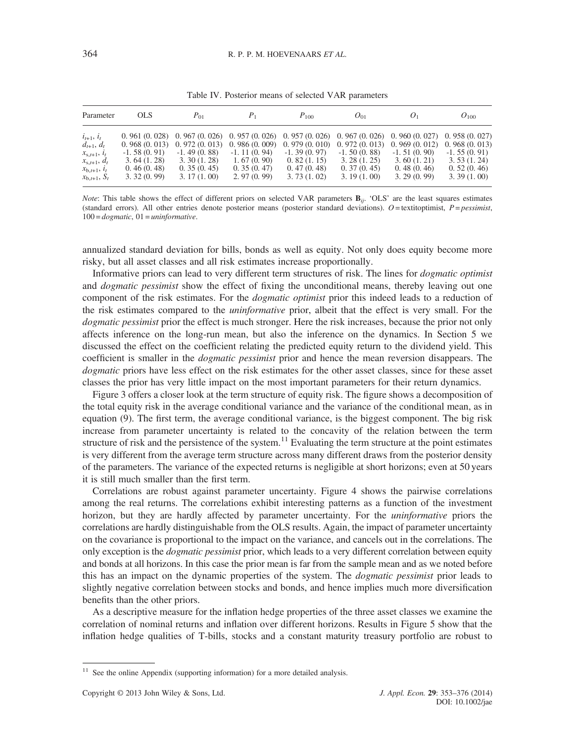| Table IV. Posterior means of selected VAR parameters |  |  |
|------------------------------------------------------|--|--|

| Parameter                                                                                                        | OLS.                                                                    | $P_{01}$                                                | $P_1$                                                     | $P_{100}$                                                                                                                                                                                                                          | $O_{01}$                                                | $\mathcal{O}_1$                                                         | $O_{100}$                                                               |
|------------------------------------------------------------------------------------------------------------------|-------------------------------------------------------------------------|---------------------------------------------------------|-----------------------------------------------------------|------------------------------------------------------------------------------------------------------------------------------------------------------------------------------------------------------------------------------------|---------------------------------------------------------|-------------------------------------------------------------------------|-------------------------------------------------------------------------|
| $i_{t+1}, i_t$<br>$d_{t+1}, d_t$<br>$x_{s,t+1}, i_t$<br>$x_{s,t+1}, d_t$<br>$x_{b,t+1}, i_t$<br>$x_{b,t+1}, S_t$ | 0.968(0.013)<br>$-1.58(0.91)$<br>3.64(1.28)<br>0.46(0.48)<br>3.32(0.99) | $-1.49(0.88)$<br>3.30(1.28)<br>0.35(0.45)<br>3.17(1.00) | $-1.11(0.94)$<br>1.67(0.90)<br>0.35(0.47)<br>2, 97(0, 99) | $0.961(0.028)$ $0.967(0.026)$ $0.957(0.026)$ $0.957(0.026)$ $0.967(0.026)$ $0.960(0.027)$ $0.958(0.027)$<br>$0.972(0.013)$ $0.986(0.009)$ $0.979(0.010)$ $0.972(0.013)$<br>$-1.39(0.97)$<br>0.82(1.15)<br>0.47(0.48)<br>3.73(1.02) | $-1.50(0.88)$<br>3.28(1.25)<br>0.37(0.45)<br>3.19(1.00) | 0.969(0.012)<br>$-1.51(0.90)$<br>3,60(1,21)<br>0.48(0.46)<br>3.29(0.99) | 0.968(0.013)<br>$-1.55(0.91)$<br>3.53(1.24)<br>0.52(0.46)<br>3.39(1.00) |

*Note:* This table shows the effect of different priors on selected VAR parameters  $B_{ij}$ . 'OLS' are the least squares estimates (standard errors). All other entries denote posterior means (posterior standard deviations).  $O =$  textitoptimist,  $P =$  *pessimist*,  $100 = dogmatic$ ,  $01 = uniformative$ .

annualized standard deviation for bills, bonds as well as equity. Not only does equity become more risky, but all asset classes and all risk estimates increase proportionally.

Informative priors can lead to very different term structures of risk. The lines for dogmatic optimist and *dogmatic pessimist* show the effect of fixing the unconditional means, thereby leaving out one component of the risk estimates. For the *dogmatic optimist* prior this indeed leads to a reduction of the risk estimates compared to the uninformative prior, albeit that the effect is very small. For the dogmatic pessimist prior the effect is much stronger. Here the risk increases, because the prior not only affects inference on the long-run mean, but also the inference on the dynamics. In Section 5 we discussed the effect on the coefficient relating the predicted equity return to the dividend yield. This coefficient is smaller in the dogmatic pessimist prior and hence the mean reversion disappears. The dogmatic priors have less effect on the risk estimates for the other asset classes, since for these asset classes the prior has very little impact on the most important parameters for their return dynamics.

Figure 3 offers a closer look at the term structure of equity risk. The figure shows a decomposition of the total equity risk in the average conditional variance and the variance of the conditional mean, as in equation (9). The first term, the average conditional variance, is the biggest component. The big risk increase from parameter uncertainty is related to the concavity of the relation between the term structure of risk and the persistence of the system.<sup>11</sup> Evaluating the term structure at the point estimates is very different from the average term structure across many different draws from the posterior density of the parameters. The variance of the expected returns is negligible at short horizons; even at 50 years it is still much smaller than the first term.

Correlations are robust against parameter uncertainty. Figure 4 shows the pairwise correlations among the real returns. The correlations exhibit interesting patterns as a function of the investment horizon, but they are hardly affected by parameter uncertainty. For the *uninformative* priors the correlations are hardly distinguishable from the OLS results. Again, the impact of parameter uncertainty on the covariance is proportional to the impact on the variance, and cancels out in the correlations. The only exception is the *dogmatic pessimist* prior, which leads to a very different correlation between equity and bonds at all horizons. In this case the prior mean is far from the sample mean and as we noted before this has an impact on the dynamic properties of the system. The dogmatic pessimist prior leads to slightly negative correlation between stocks and bonds, and hence implies much more diversification benefits than the other priors.

As a descriptive measure for the inflation hedge properties of the three asset classes we examine the correlation of nominal returns and inflation over different horizons. Results in Figure 5 show that the inflation hedge qualities of T-bills, stocks and a constant maturity treasury portfolio are robust to

 $11$  See the online Appendix (supporting information) for a more detailed analysis.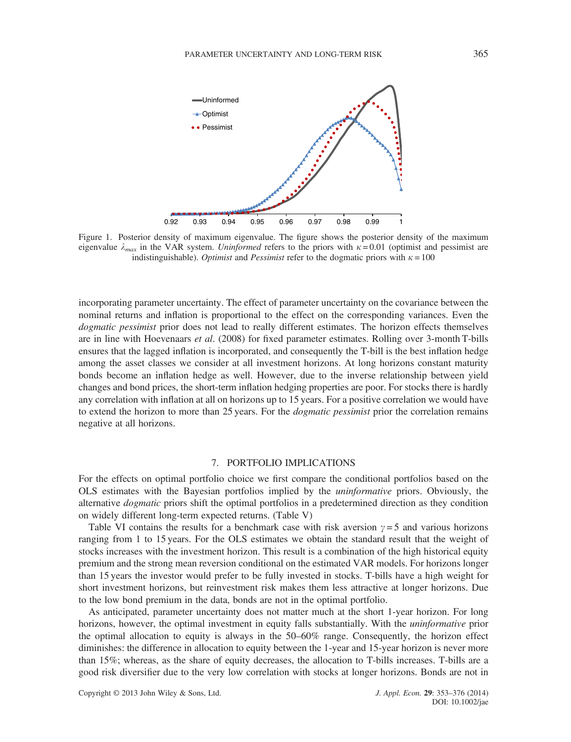

Figure 1. Posterior density of maximum eigenvalue. The figure shows the posterior density of the maximum eigenvalue  $\lambda_{max}$  in the VAR system. Uninformed refers to the priors with  $\kappa = 0.01$  (optimist and pessimist are indistinguishable). Optimist and Pessimist refer to the dogmatic priors with  $\kappa = 100$ 

incorporating parameter uncertainty. The effect of parameter uncertainty on the covariance between the nominal returns and inflation is proportional to the effect on the corresponding variances. Even the dogmatic pessimist prior does not lead to really different estimates. The horizon effects themselves are in line with Hoevenaars et al. (2008) for fixed parameter estimates. Rolling over 3-month T-bills ensures that the lagged inflation is incorporated, and consequently the T-bill is the best inflation hedge among the asset classes we consider at all investment horizons. At long horizons constant maturity bonds become an inflation hedge as well. However, due to the inverse relationship between yield changes and bond prices, the short-term inflation hedging properties are poor. For stocks there is hardly any correlation with inflation at all on horizons up to 15 years. For a positive correlation we would have to extend the horizon to more than 25 years. For the *dogmatic pessimist* prior the correlation remains negative at all horizons.

#### 7. PORTFOLIO IMPLICATIONS

For the effects on optimal portfolio choice we first compare the conditional portfolios based on the OLS estimates with the Bayesian portfolios implied by the uninformative priors. Obviously, the alternative dogmatic priors shift the optimal portfolios in a predetermined direction as they condition on widely different long-term expected returns. (Table V)

Table VI contains the results for a benchmark case with risk aversion  $\gamma = 5$  and various horizons ranging from 1 to 15 years. For the OLS estimates we obtain the standard result that the weight of stocks increases with the investment horizon. This result is a combination of the high historical equity premium and the strong mean reversion conditional on the estimated VAR models. For horizons longer than 15 years the investor would prefer to be fully invested in stocks. T-bills have a high weight for short investment horizons, but reinvestment risk makes them less attractive at longer horizons. Due to the low bond premium in the data, bonds are not in the optimal portfolio.

As anticipated, parameter uncertainty does not matter much at the short 1-year horizon. For long horizons, however, the optimal investment in equity falls substantially. With the *uninformative* prior the optimal allocation to equity is always in the 50–60% range. Consequently, the horizon effect diminishes: the difference in allocation to equity between the 1-year and 15-year horizon is never more than 15%; whereas, as the share of equity decreases, the allocation to T-bills increases. T-bills are a good risk diversifier due to the very low correlation with stocks at longer horizons. Bonds are not in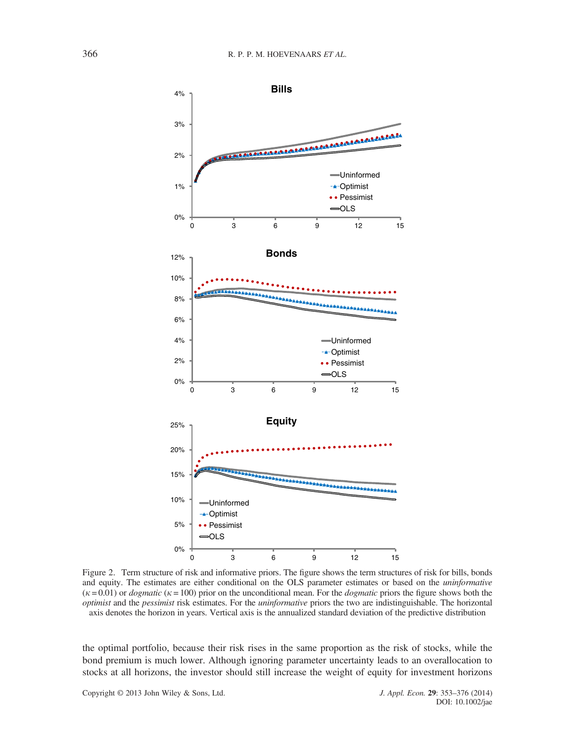

Figure 2. Term structure of risk and informative priors. The figure shows the term structures of risk for bills, bonds and equity. The estimates are either conditional on the OLS parameter estimates or based on the uninformative  $(k=0.01)$  or *dogmatic*  $(k=100)$  prior on the unconditional mean. For the *dogmatic* priors the figure shows both the optimist and the pessimist risk estimates. For the uninformative priors the two are indistinguishable. The horizontal axis denotes the horizon in years. Vertical axis is the annualized standard deviation of the predictive distribution

the optimal portfolio, because their risk rises in the same proportion as the risk of stocks, while the bond premium is much lower. Although ignoring parameter uncertainty leads to an overallocation to stocks at all horizons, the investor should still increase the weight of equity for investment horizons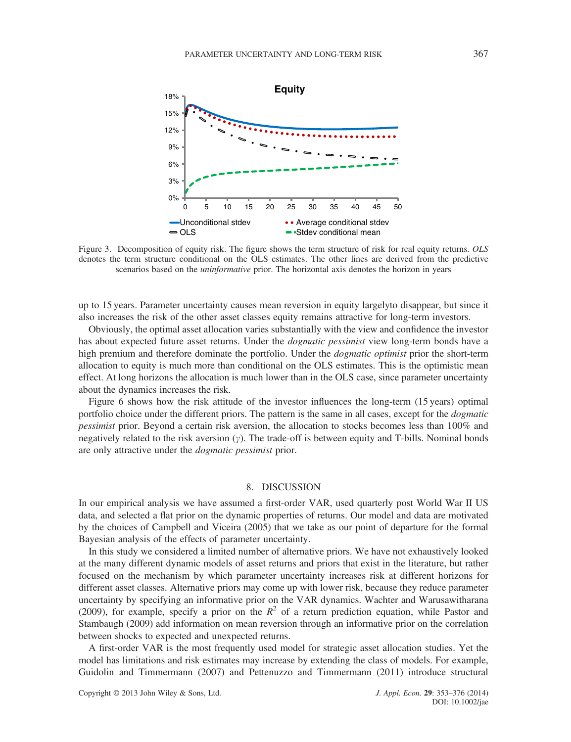

Figure 3. Decomposition of equity risk. The figure shows the term structure of risk for real equity returns. OLS denotes the term structure conditional on the OLS estimates. The other lines are derived from the predictive scenarios based on the *uninformative* prior. The horizontal axis denotes the horizon in years

up to 15 years. Parameter uncertainty causes mean reversion in equity largelyto disappear, but since it also increases the risk of the other asset classes equity remains attractive for long-term investors.

Obviously, the optimal asset allocation varies substantially with the view and confidence the investor has about expected future asset returns. Under the *dogmatic pessimist* view long-term bonds have a high premium and therefore dominate the portfolio. Under the *dogmatic optimist* prior the short-term allocation to equity is much more than conditional on the OLS estimates. This is the optimistic mean effect. At long horizons the allocation is much lower than in the OLS case, since parameter uncertainty about the dynamics increases the risk.

Figure 6 shows how the risk attitude of the investor influences the long-term (15 years) optimal portfolio choice under the different priors. The pattern is the same in all cases, except for the *dogmatic* pessimist prior. Beyond a certain risk aversion, the allocation to stocks becomes less than 100% and negatively related to the risk aversion  $(y)$ . The trade-off is between equity and T-bills. Nominal bonds are only attractive under the dogmatic pessimist prior.

#### 8. DISCUSSION

In our empirical analysis we have assumed a first-order VAR, used quarterly post World War II US data, and selected a flat prior on the dynamic properties of returns. Our model and data are motivated by the choices of Campbell and Viceira (2005) that we take as our point of departure for the formal Bayesian analysis of the effects of parameter uncertainty.

In this study we considered a limited number of alternative priors. We have not exhaustively looked at the many different dynamic models of asset returns and priors that exist in the literature, but rather focused on the mechanism by which parameter uncertainty increases risk at different horizons for different asset classes. Alternative priors may come up with lower risk, because they reduce parameter uncertainty by specifying an informative prior on the VAR dynamics. Wachter and Warusawitharana (2009), for example, specify a prior on the  $R^2$  of a return prediction equation, while Pastor and Stambaugh (2009) add information on mean reversion through an informative prior on the correlation between shocks to expected and unexpected returns.

A first-order VAR is the most frequently used model for strategic asset allocation studies. Yet the model has limitations and risk estimates may increase by extending the class of models. For example, Guidolin and Timmermann (2007) and Pettenuzzo and Timmermann (2011) introduce structural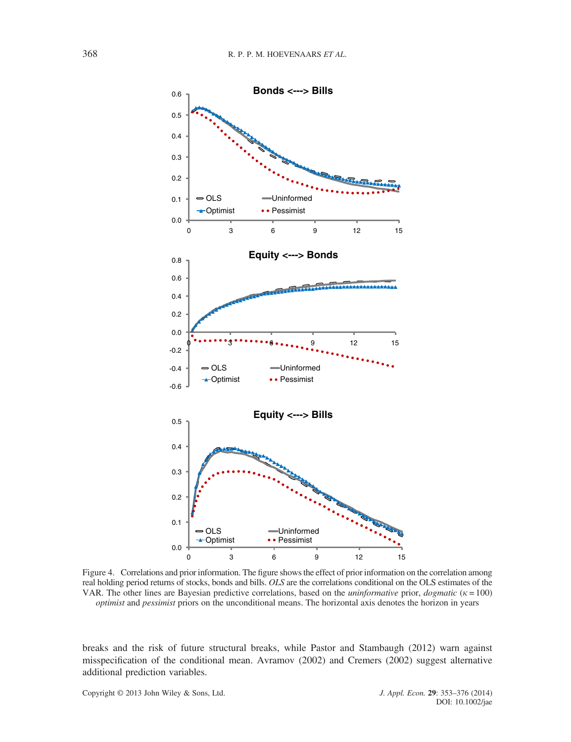

Figure 4. Correlations and prior information. The figure shows the effect of prior information on the correlation among real holding period returns of stocks, bonds and bills. OLS are the correlations conditional on the OLS estimates of the VAR. The other lines are Bayesian predictive correlations, based on the *uninformative* prior, *dogmatic* ( $\kappa = 100$ ) optimist and pessimist priors on the unconditional means. The horizontal axis denotes the horizon in years

breaks and the risk of future structural breaks, while Pastor and Stambaugh (2012) warn against misspecification of the conditional mean. Avramov (2002) and Cremers (2002) suggest alternative additional prediction variables.

Copyright © 2013 John Wiley & Sons, Ltd. J. Appl. Econ. 29: 353–376 (2014)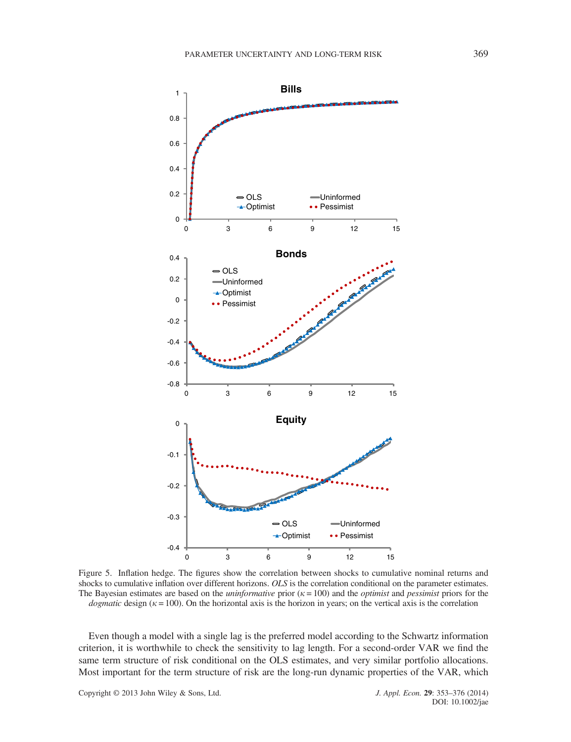

Figure 5. Inflation hedge. The figures show the correlation between shocks to cumulative nominal returns and shocks to cumulative inflation over different horizons. OLS is the correlation conditional on the parameter estimates. The Bayesian estimates are based on the *uninformative* prior ( $\kappa = 100$ ) and the *optimist* and *pessimist* priors for the dogmatic design ( $\kappa$  = 100). On the horizontal axis is the horizon in years; on the vertical axis is the correlation

Even though a model with a single lag is the preferred model according to the Schwartz information criterion, it is worthwhile to check the sensitivity to lag length. For a second-order VAR we find the same term structure of risk conditional on the OLS estimates, and very similar portfolio allocations. Most important for the term structure of risk are the long-run dynamic properties of the VAR, which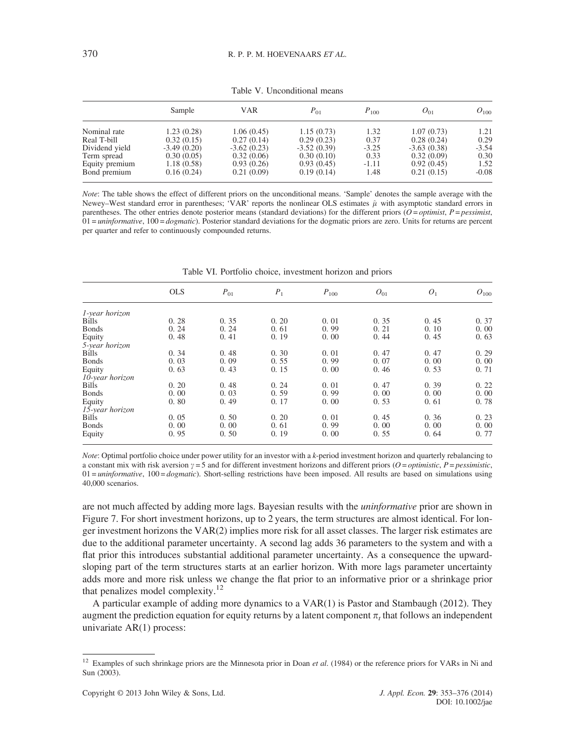|                | Sample        | VAR           | $P_{01}$      | $P_{100}$ | $O_{01}$      | $O_{100}$ |
|----------------|---------------|---------------|---------------|-----------|---------------|-----------|
| Nominal rate   | 1.23(0.28)    | 1.06(0.45)    | 1.15(0.73)    | 1.32      | 1.07(0.73)    | 1.21      |
| Real T-bill    | 0.32(0.15)    | 0.27(0.14)    | 0.29(0.23)    | 0.37      | 0.28(0.24)    | 0.29      |
| Dividend yield | $-3.49(0.20)$ | $-3.62(0.23)$ | $-3.52(0.39)$ | $-3.25$   | $-3.63(0.38)$ | $-3.54$   |
| Term spread    | 0.30(0.05)    | 0.32(0.06)    | 0.30(0.10)    | 0.33      | 0.32(0.09)    | 0.30      |
| Equity premium | 1.18(0.58)    | 0.93(0.26)    | 0.93(0.45)    | $-1.11$   | 0.92(0.45)    | 1.52      |
| Bond premium   | 0.16(0.24)    | 0.21(0.09)    | 0.19(0.14)    | 1.48      | 0.21(0.15)    | $-0.08$   |

Table V. Unconditional means

Note: The table shows the effect of different priors on the unconditional means. 'Sample' denotes the sample average with the Newey–West standard error in parentheses; 'VAR' reports the nonlinear OLS estimates  $\hat{\mu}$  with asymptotic standard errors in parentheses. The other entries denote posterior means (standard deviations) for the different priors  $(O = optimist, P = pessimist,$  $01 = \text{uninformative}$ ,  $100 = \text{dogmatic}$ ). Posterior standard deviations for the dogmatic priors are zero. Units for returns are percent per quarter and refer to continuously compounded returns.

|                 | <b>OLS</b> | $P_{01}$ | $P_1$ | $P_{100}$ | $O_{01}$ | O <sub>1</sub> | $O_{100}$ |
|-----------------|------------|----------|-------|-----------|----------|----------------|-----------|
| 1-year horizon  |            |          |       |           |          |                |           |
| <b>Bills</b>    | 0.28       | 0.35     | 0.20  | 0.01      | 0.35     | 0.45           | 0.37      |
| <b>Bonds</b>    | 0.24       | 0.24     | 0.61  | 0.99      | 0.21     | 0.10           | 0.00      |
| Equity          | 0.48       | 0.41     | 0.19  | 0.00      | 0.44     | 0.45           | 0.63      |
| 5-year horizon  |            |          |       |           |          |                |           |
| <b>Bills</b>    | 0.34       | 0.48     | 0.30  | 0.01      | 0.47     | 0.47           | 0.29      |
| <b>Bonds</b>    | 0.03       | 0.09     | 0.55  | 0.99      | 0.07     | 0.00           | 0.00      |
| Equity          | 0.63       | 0.43     | 0.15  | 0.00      | 0.46     | 0.53           | 0.71      |
| 10-year horizon |            |          |       |           |          |                |           |
| Bills           | 0.20       | 0.48     | 0.24  | 0.01      | 0.47     | 0.39           | 0.22      |
| <b>Bonds</b>    | 0.00       | 0.03     | 0.59  | 0.99      | 0.00     | 0.00           | 0.00      |
| Equity          | 0.80       | 0.49     | 0.17  | 0.00      | 0.53     | 0.61           | 0.78      |
| 15-year horizon |            |          |       |           |          |                |           |
| Bills           | 0.05       | 0.50     | 0.20  | 0.01      | 0.45     | 0.36           | 0.23      |
| <b>Bonds</b>    | 0.00       | 0.00     | 0.61  | 0.99      | 0.00     | 0.00           | 0.00      |
| Equity          | 0.95       | 0.50     | 0.19  | 0.00      | 0.55     | 0.64           | 0.77      |
|                 |            |          |       |           |          |                |           |

Table VI. Portfolio choice, investment horizon and priors

Note: Optimal portfolio choice under power utility for an investor with a k-period investment horizon and quarterly rebalancing to a constant mix with risk aversion  $y = 5$  and for different investment horizons and different priors (O = optimistic, P = pessimistic,  $01 =$ *uninformative*,  $100 =$ *dogmatic*). Short-selling restrictions have been imposed. All results are based on simulations using 40,000 scenarios.

are not much affected by adding more lags. Bayesian results with the uninformative prior are shown in Figure 7. For short investment horizons, up to 2 years, the term structures are almost identical. For longer investment horizons the VAR(2) implies more risk for all asset classes. The larger risk estimates are due to the additional parameter uncertainty. A second lag adds 36 parameters to the system and with a flat prior this introduces substantial additional parameter uncertainty. As a consequence the upwardsloping part of the term structures starts at an earlier horizon. With more lags parameter uncertainty adds more and more risk unless we change the flat prior to an informative prior or a shrinkage prior that penalizes model complexity.<sup>12</sup>

A particular example of adding more dynamics to a VAR(1) is Pastor and Stambaugh (2012). They augment the prediction equation for equity returns by a latent component  $\pi_t$ , that follows an independent univariate AR(1) process:

 $12$  Examples of such shrinkage priors are the Minnesota prior in Doan et al. (1984) or the reference priors for VARs in Ni and Sun (2003).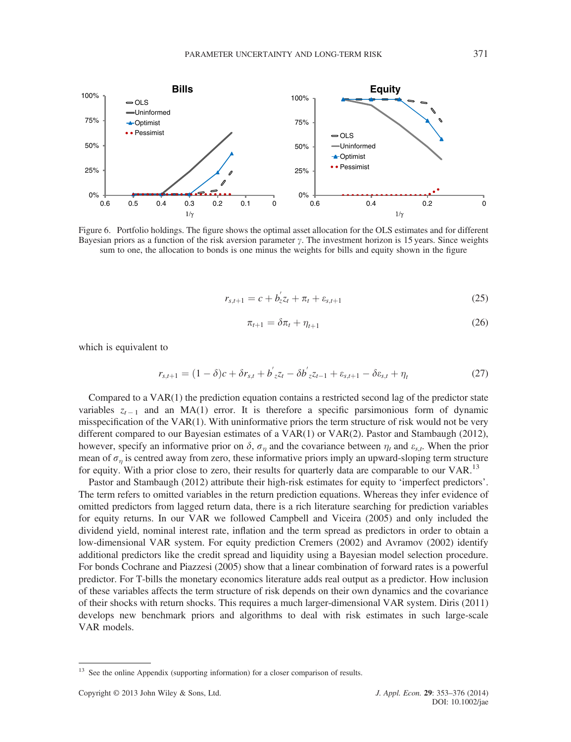

Figure 6. Portfolio holdings. The figure shows the optimal asset allocation for the OLS estimates and for different Bayesian priors as a function of the risk aversion parameter  $\gamma$ . The investment horizon is 15 years. Since weights sum to one, the allocation to bonds is one minus the weights for bills and equity shown in the figure

$$
r_{s,t+1} = c + b'_z z_t + \pi_t + \varepsilon_{s,t+1}
$$
\n(25)

$$
\pi_{t+1} = \delta \pi_t + \eta_{t+1} \tag{26}
$$

which is equivalent to

$$
r_{s,t+1} = (1 - \delta)c + \delta r_{s,t} + b^{'}_{z} z_t - \delta b^{'}_{z} z_{t-1} + \varepsilon_{s,t+1} - \delta \varepsilon_{s,t} + \eta_t
$$
 (27)

Compared to a  $VAR(1)$  the prediction equation contains a restricted second lag of the predictor state variables  $z_{t-1}$  and an MA(1) error. It is therefore a specific parsimonious form of dynamic misspecification of the VAR(1). With uninformative priors the term structure of risk would not be very different compared to our Bayesian estimates of a VAR(1) or VAR(2). Pastor and Stambaugh (2012), however, specify an informative prior on  $\delta$ ,  $\sigma_{\eta}$  and the covariance between  $\eta_t$  and  $\varepsilon_{s,t}$ . When the prior mean of  $\sigma_{\eta}$  is centred away from zero, these informative priors imply an upward-sloping term structure for equity. With a prior close to zero, their results for quarterly data are comparable to our VAR.<sup>13</sup>

Pastor and Stambaugh (2012) attribute their high-risk estimates for equity to 'imperfect predictors'. The term refers to omitted variables in the return prediction equations. Whereas they infer evidence of omitted predictors from lagged return data, there is a rich literature searching for prediction variables for equity returns. In our VAR we followed Campbell and Viceira (2005) and only included the dividend yield, nominal interest rate, inflation and the term spread as predictors in order to obtain a low-dimensional VAR system. For equity prediction Cremers (2002) and Avramov (2002) identify additional predictors like the credit spread and liquidity using a Bayesian model selection procedure. For bonds Cochrane and Piazzesi (2005) show that a linear combination of forward rates is a powerful predictor. For T-bills the monetary economics literature adds real output as a predictor. How inclusion of these variables affects the term structure of risk depends on their own dynamics and the covariance of their shocks with return shocks. This requires a much larger-dimensional VAR system. Diris (2011) develops new benchmark priors and algorithms to deal with risk estimates in such large-scale VAR models.

See the online Appendix (supporting information) for a closer comparison of results.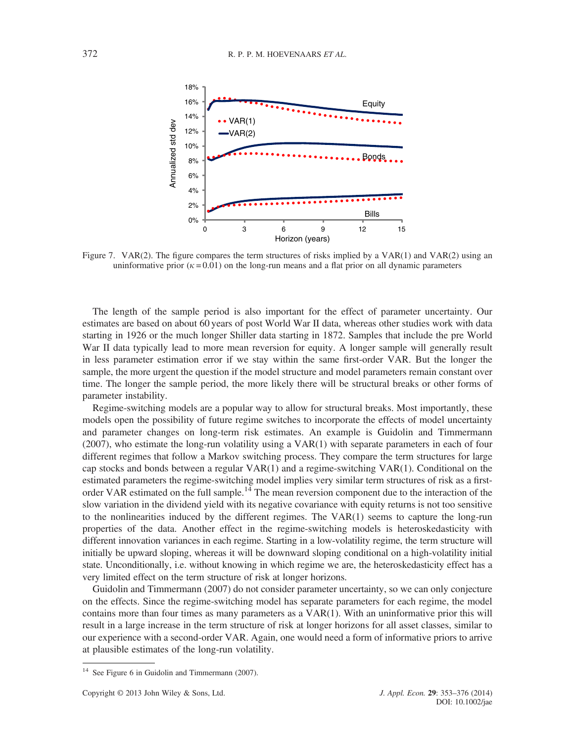

Figure 7. VAR(2). The figure compares the term structures of risks implied by a VAR(1) and VAR(2) using an uninformative prior  $(\kappa = 0.01)$  on the long-run means and a flat prior on all dynamic parameters

The length of the sample period is also important for the effect of parameter uncertainty. Our estimates are based on about 60 years of post World War II data, whereas other studies work with data starting in 1926 or the much longer Shiller data starting in 1872. Samples that include the pre World War II data typically lead to more mean reversion for equity. A longer sample will generally result in less parameter estimation error if we stay within the same first-order VAR. But the longer the sample, the more urgent the question if the model structure and model parameters remain constant over time. The longer the sample period, the more likely there will be structural breaks or other forms of parameter instability.

Regime-switching models are a popular way to allow for structural breaks. Most importantly, these models open the possibility of future regime switches to incorporate the effects of model uncertainty and parameter changes on long-term risk estimates. An example is Guidolin and Timmermann (2007), who estimate the long-run volatility using a VAR(1) with separate parameters in each of four different regimes that follow a Markov switching process. They compare the term structures for large cap stocks and bonds between a regular VAR(1) and a regime-switching VAR(1). Conditional on the estimated parameters the regime-switching model implies very similar term structures of risk as a firstorder VAR estimated on the full sample.<sup>14</sup> The mean reversion component due to the interaction of the slow variation in the dividend yield with its negative covariance with equity returns is not too sensitive to the nonlinearities induced by the different regimes. The VAR(1) seems to capture the long-run properties of the data. Another effect in the regime-switching models is heteroskedasticity with different innovation variances in each regime. Starting in a low-volatility regime, the term structure will initially be upward sloping, whereas it will be downward sloping conditional on a high-volatility initial state. Unconditionally, i.e. without knowing in which regime we are, the heteroskedasticity effect has a very limited effect on the term structure of risk at longer horizons.

Guidolin and Timmermann (2007) do not consider parameter uncertainty, so we can only conjecture on the effects. Since the regime-switching model has separate parameters for each regime, the model contains more than four times as many parameters as a VAR(1). With an uninformative prior this will result in a large increase in the term structure of risk at longer horizons for all asset classes, similar to our experience with a second-order VAR. Again, one would need a form of informative priors to arrive at plausible estimates of the long-run volatility.

<sup>&</sup>lt;sup>14</sup> See Figure 6 in Guidolin and Timmermann (2007).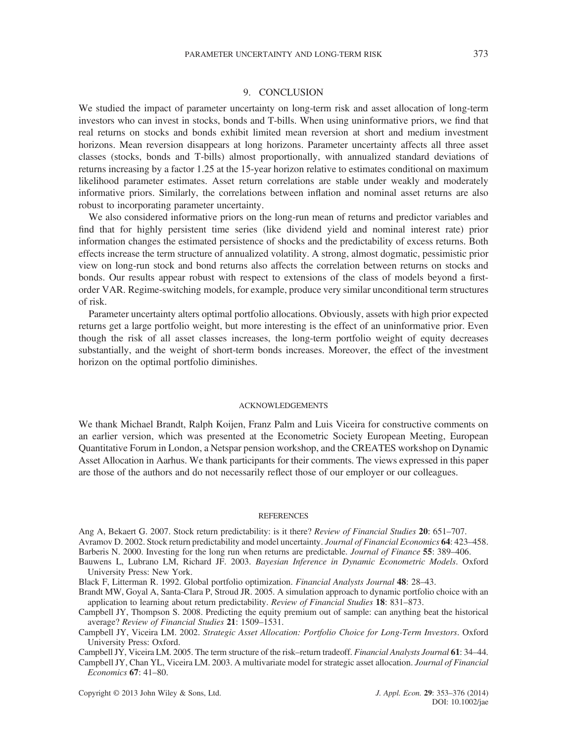#### 9. CONCLUSION

We studied the impact of parameter uncertainty on long-term risk and asset allocation of long-term investors who can invest in stocks, bonds and T-bills. When using uninformative priors, we find that real returns on stocks and bonds exhibit limited mean reversion at short and medium investment horizons. Mean reversion disappears at long horizons. Parameter uncertainty affects all three asset classes (stocks, bonds and T-bills) almost proportionally, with annualized standard deviations of returns increasing by a factor 1.25 at the 15-year horizon relative to estimates conditional on maximum likelihood parameter estimates. Asset return correlations are stable under weakly and moderately informative priors. Similarly, the correlations between inflation and nominal asset returns are also robust to incorporating parameter uncertainty.

We also considered informative priors on the long-run mean of returns and predictor variables and find that for highly persistent time series (like dividend yield and nominal interest rate) prior information changes the estimated persistence of shocks and the predictability of excess returns. Both effects increase the term structure of annualized volatility. A strong, almost dogmatic, pessimistic prior view on long-run stock and bond returns also affects the correlation between returns on stocks and bonds. Our results appear robust with respect to extensions of the class of models beyond a firstorder VAR. Regime-switching models, for example, produce very similar unconditional term structures of risk.

Parameter uncertainty alters optimal portfolio allocations. Obviously, assets with high prior expected returns get a large portfolio weight, but more interesting is the effect of an uninformative prior. Even though the risk of all asset classes increases, the long-term portfolio weight of equity decreases substantially, and the weight of short-term bonds increases. Moreover, the effect of the investment horizon on the optimal portfolio diminishes.

#### ACKNOWLEDGEMENTS

We thank Michael Brandt, Ralph Koijen, Franz Palm and Luis Viceira for constructive comments on an earlier version, which was presented at the Econometric Society European Meeting, European Quantitative Forum in London, a Netspar pension workshop, and the CREATES workshop on Dynamic Asset Allocation in Aarhus. We thank participants for their comments. The views expressed in this paper are those of the authors and do not necessarily reflect those of our employer or our colleagues.

#### **REFERENCES**

Ang A, Bekaert G. 2007. Stock return predictability: is it there? Review of Financial Studies 20: 651–707. Avramov D. 2002. Stock return predictability and model uncertainty. Journal of Financial Economics 64: 423-458. Barberis N. 2000. Investing for the long run when returns are predictable. Journal of Finance 55: 389–406.

Bauwens L, Lubrano LM, Richard JF. 2003. Bayesian Inference in Dynamic Econometric Models. Oxford University Press: New York.

Black F, Litterman R. 1992. Global portfolio optimization. Financial Analysts Journal 48: 28–43.

Brandt MW, Goyal A, Santa-Clara P, Stroud JR. 2005. A simulation approach to dynamic portfolio choice with an application to learning about return predictability. Review of Financial Studies 18: 831-873.

Campbell JY, Thompson S. 2008. Predicting the equity premium out of sample: can anything beat the historical average? Review of Financial Studies 21: 1509–1531.

Campbell JY, Viceira LM. 2002. Strategic Asset Allocation: Portfolio Choice for Long-Term Investors. Oxford University Press: Oxford.

Campbell JY, Viceira LM. 2005. The term structure of the risk–return tradeoff. Financial Analysts Journal 61: 34–44.

Campbell JY, Chan YL, Viceira LM. 2003. A multivariate model for strategic asset allocation. Journal of Financial Economics 67: 41–80.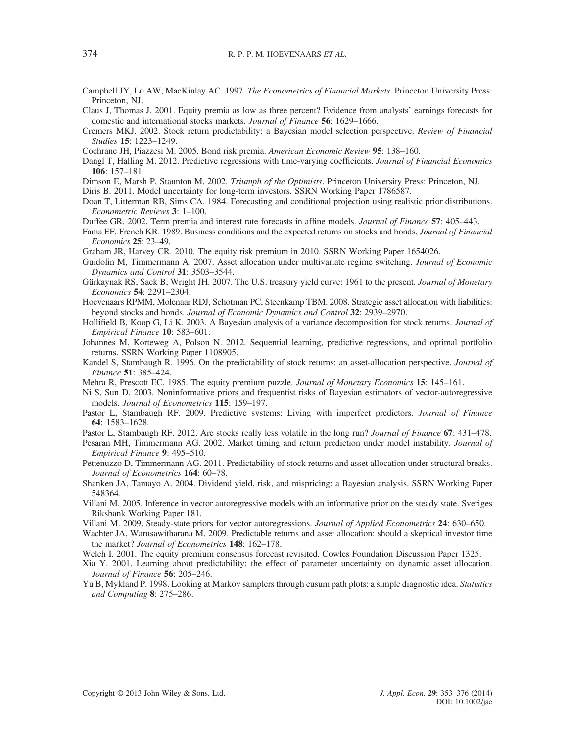- Campbell JY, Lo AW, MacKinlay AC. 1997. The Econometrics of Financial Markets. Princeton University Press: Princeton, NJ.
- Claus J, Thomas J. 2001. Equity premia as low as three percent? Evidence from analysts' earnings forecasts for domestic and international stocks markets. Journal of Finance 56: 1629–1666.
- Cremers MKJ. 2002. Stock return predictability: a Bayesian model selection perspective. Review of Financial Studies 15: 1223–1249.
- Cochrane JH, Piazzesi M. 2005. Bond risk premia. American Economic Review 95: 138–160.
- Dangl T, Halling M. 2012. Predictive regressions with time-varying coefficients. Journal of Financial Economics 106: 157–181.
- Dimson E, Marsh P, Staunton M. 2002. Triumph of the Optimists. Princeton University Press: Princeton, NJ.
- Diris B. 2011. Model uncertainty for long-term investors. SSRN Working Paper 1786587.
- Doan T, Litterman RB, Sims CA. 1984. Forecasting and conditional projection using realistic prior distributions. Econometric Reviews 3: 1–100.
- Duffee GR. 2002. Term premia and interest rate forecasts in affine models. *Journal of Finance* 57: 405–443.
- Fama EF, French KR. 1989. Business conditions and the expected returns on stocks and bonds. Journal of Financial Economics 25: 23–49.
- Graham JR, Harvey CR. 2010. The equity risk premium in 2010. SSRN Working Paper 1654026.
- Guidolin M, Timmermann A. 2007. Asset allocation under multivariate regime switching. Journal of Economic Dynamics and Control 31: 3503–3544.
- Gürkaynak RS, Sack B, Wright JH. 2007. The U.S. treasury yield curve: 1961 to the present. Journal of Monetary Economics 54: 2291–2304.
- Hoevenaars RPMM, Molenaar RDJ, Schotman PC, Steenkamp TBM. 2008. Strategic asset allocation with liabilities: beyond stocks and bonds. Journal of Economic Dynamics and Control 32: 2939–2970.
- Hollifield B, Koop G, Li K. 2003. A Bayesian analysis of a variance decomposition for stock returns. Journal of Empirical Finance 10: 583–601.
- Johannes M, Korteweg A, Polson N. 2012. Sequential learning, predictive regressions, and optimal portfolio returns. SSRN Working Paper 1108905.
- Kandel S, Stambaugh R. 1996. On the predictability of stock returns: an asset-allocation perspective. Journal of Finance 51: 385–424.
- Mehra R, Prescott EC. 1985. The equity premium puzzle. Journal of Monetary Economics 15: 145–161.
- Ni S, Sun D. 2003. Noninformative priors and frequentist risks of Bayesian estimators of vector-autoregressive models. Journal of Econometrics 115: 159–197.
- Pastor L, Stambaugh RF. 2009. Predictive systems: Living with imperfect predictors. Journal of Finance 64: 1583–1628.

Pastor L, Stambaugh RF. 2012. Are stocks really less volatile in the long run? Journal of Finance 67: 431–478.

- Pesaran MH, Timmermann AG. 2002. Market timing and return prediction under model instability. Journal of Empirical Finance 9: 495–510.
- Pettenuzzo D, Timmermann AG. 2011. Predictability of stock returns and asset allocation under structural breaks. Journal of Econometrics 164: 60–78.
- Shanken JA, Tamayo A. 2004. Dividend yield, risk, and mispricing: a Bayesian analysis. SSRN Working Paper 548364.
- Villani M. 2005. Inference in vector autoregressive models with an informative prior on the steady state. Sveriges Riksbank Working Paper 181.
- Villani M. 2009. Steady-state priors for vector autoregressions. Journal of Applied Econometrics 24: 630–650.
- Wachter JA, Warusawitharana M. 2009. Predictable returns and asset allocation: should a skeptical investor time the market? Journal of Econometrics 148: 162-178.
- Welch I. 2001. The equity premium consensus forecast revisited. Cowles Foundation Discussion Paper 1325.
- Xia Y. 2001. Learning about predictability: the effect of parameter uncertainty on dynamic asset allocation. Journal of Finance 56: 205–246.
- Yu B, Mykland P. 1998. Looking at Markov samplers through cusum path plots: a simple diagnostic idea. Statistics and Computing 8: 275–286.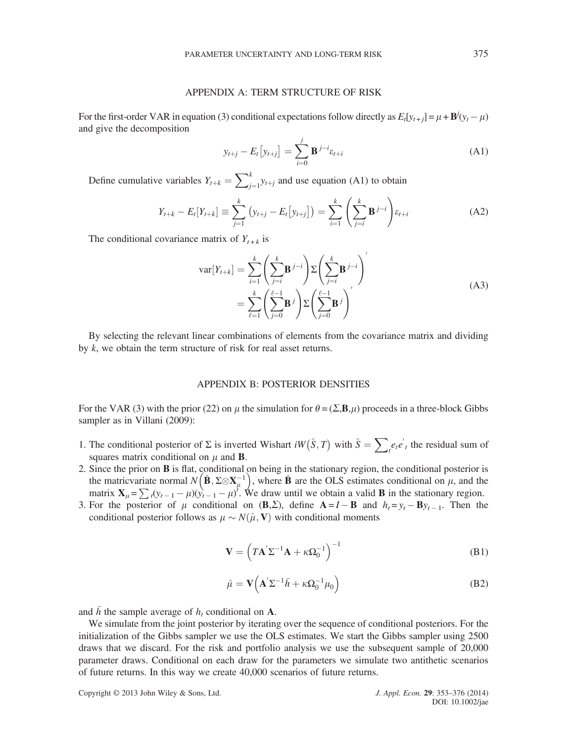#### APPENDIX A: TERM STRUCTURE OF RISK

For the first-order VAR in equation (3) conditional expectations follow directly as  $E_t[y_{t+j}] = \mu + \mathbf{B}^j(y_t - \mu)$ and give the decomposition

$$
y_{t+j} - E_t [y_{t+j}] = \sum_{i=0}^{j} \mathbf{B}^{j-i} \varepsilon_{t+i}
$$
 (A1)

Define cumulative variables  $Y_{t+k} = \sum_{j=1}^{k} y_{t+j}$  and use equation (A1) to obtain

$$
Y_{t+k} - E_t[Y_{t+k}] \equiv \sum_{j=1}^k (y_{t+j} - E_t[y_{t+j}]) = \sum_{i=1}^k \left(\sum_{j=i}^k \mathbf{B}^{j-i}\right) \varepsilon_{t+i}
$$
(A2)

The conditional covariance matrix of  $Y_{t+k}$  is

$$
\operatorname{var}[Y_{t+k}] = \sum_{i=1}^{k} \left( \sum_{j=i}^{k} \mathbf{B}^{j-i} \right) \Sigma \left( \sum_{j=i}^{k} \mathbf{B}^{j-i} \right)
$$
  
= 
$$
\sum_{\ell=1}^{k} \left( \sum_{j=0}^{\ell-1} \mathbf{B}^{j} \right) \Sigma \left( \sum_{j=0}^{\ell-1} \mathbf{B}^{j} \right)^{'} (A3)
$$

By selecting the relevant linear combinations of elements from the covariance matrix and dividing by k, we obtain the term structure of risk for real asset returns.

#### APPENDIX B: POSTERIOR DENSITIES

For the VAR (3) with the prior (22) on  $\mu$  the simulation for  $\theta = (\Sigma, \mathbf{B}, \mu)$  proceeds in a three-block Gibbs sampler as in Villani (2009):

- 1. The conditional posterior of  $\Sigma$  is inverted Wishart  $iW(\hat{S}, T)$  with  $\hat{S} = \sum_{t} e_t e_t'$  the residual sum of squares matrix conditional on  $\mu$  and **B**.
- 2. Since the prior on B is flat, conditional on being in the stationary region, the conditional posterior is the matricvariate normal  $N(\hat{\mathbf{B}}, \Sigma \otimes \mathbf{X}_{\mu}^{-1})$ , where  $\hat{\mathbf{B}}$  are the OLS estimates conditional on  $\mu$ , and the matrix  $\mathbf{X}_{\mu} = \sum_{i} (y_{t-1} - \mu)(y_{t-1} - \mu)'$ . We draw until we obtain a valid **B** in the stationary region.
- 3. For the posterior of  $\mu$  conditional on (B, Σ), define  $A = I B$  and  $h_t = y_t By_{t-1}$ . Then the conditional posterior follows as  $\mu \sim N(\hat{\mu}, V)$  with conditional moments

$$
\mathbf{V} = \left( T\mathbf{A}^{\prime} \Sigma^{-1} \mathbf{A} + \kappa \Omega_0^{-1} \right)^{-1}
$$
 (B1)

$$
\hat{\mu} = \mathbf{V} \Big( \mathbf{A}' \Sigma^{-1} \bar{h} + \kappa \Omega_0^{-1} \mu_0 \Big) \tag{B2}
$$

and h the sample average of  $h_t$  conditional on **A**.

We simulate from the joint posterior by iterating over the sequence of conditional posteriors. For the initialization of the Gibbs sampler we use the OLS estimates. We start the Gibbs sampler using 2500 draws that we discard. For the risk and portfolio analysis we use the subsequent sample of 20,000 parameter draws. Conditional on each draw for the parameters we simulate two antithetic scenarios of future returns. In this way we create 40,000 scenarios of future returns.